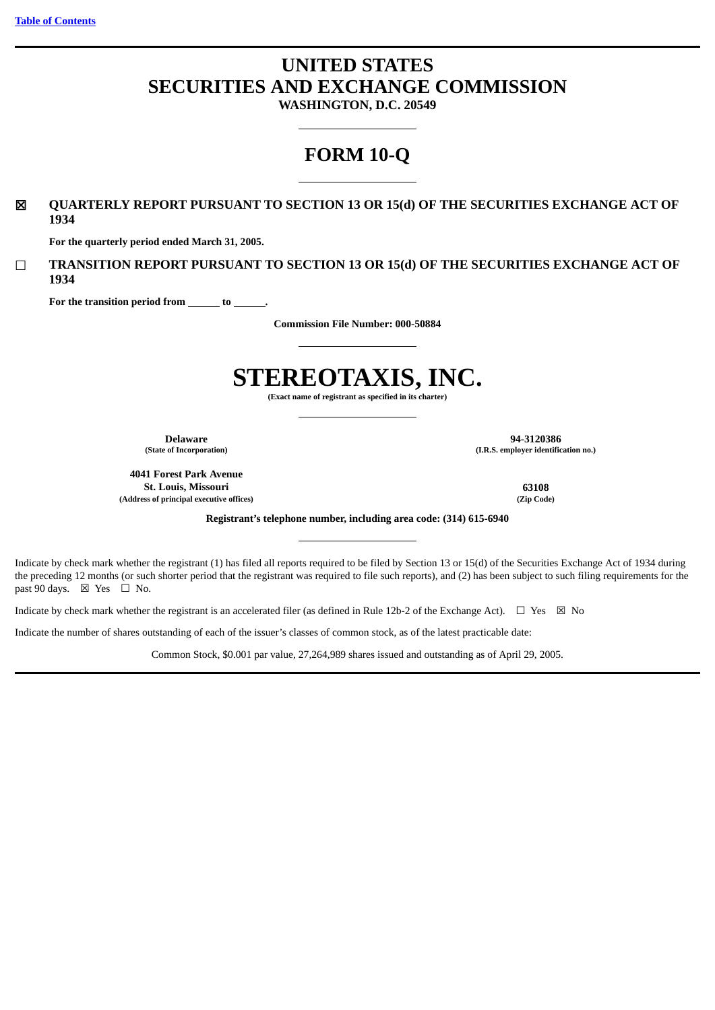# **UNITED STATES SECURITIES AND EXCHANGE COMMISSION**

**WASHINGTON, D.C. 20549**

## **FORM 10-Q**

## ☒ **QUARTERLY REPORT PURSUANT TO SECTION 13 OR 15(d) OF THE SECURITIES EXCHANGE ACT OF 1934**

**For the quarterly period ended March 31, 2005.**

☐ **TRANSITION REPORT PURSUANT TO SECTION 13 OR 15(d) OF THE SECURITIES EXCHANGE ACT OF 1934**

For the transition period from \_\_\_\_\_\_\_ to \_\_\_\_\_\_.

**Commission File Number: 000-50884**

# **STEREOTAXIS, INC.**

**(Exact name of registrant as specified in its charter)**

**4041 Forest Park Avenue St. Louis, Missouri 63108 (Address of principal executive offices) (Zip Code)**

**Delaware 94-3120386**<br> **94-3120386**<br> **1.R.S. employer identification (State of Incorporation) (I.R.S. employer identification no.)**

**Registrant's telephone number, including area code: (314) 615-6940**

Indicate by check mark whether the registrant (1) has filed all reports required to be filed by Section 13 or 15(d) of the Securities Exchange Act of 1934 during the preceding 12 months (or such shorter period that the registrant was required to file such reports), and (2) has been subject to such filing requirements for the past 90 days.  $\boxtimes$  Yes  $\Box$  No.

Indicate by check mark whether the registrant is an accelerated filer (as defined in Rule 12b-2 of the Exchange Act).  $\Box$  Yes  $\boxtimes$  No

Indicate the number of shares outstanding of each of the issuer's classes of common stock, as of the latest practicable date:

Common Stock, \$0.001 par value, 27,264,989 shares issued and outstanding as of April 29, 2005.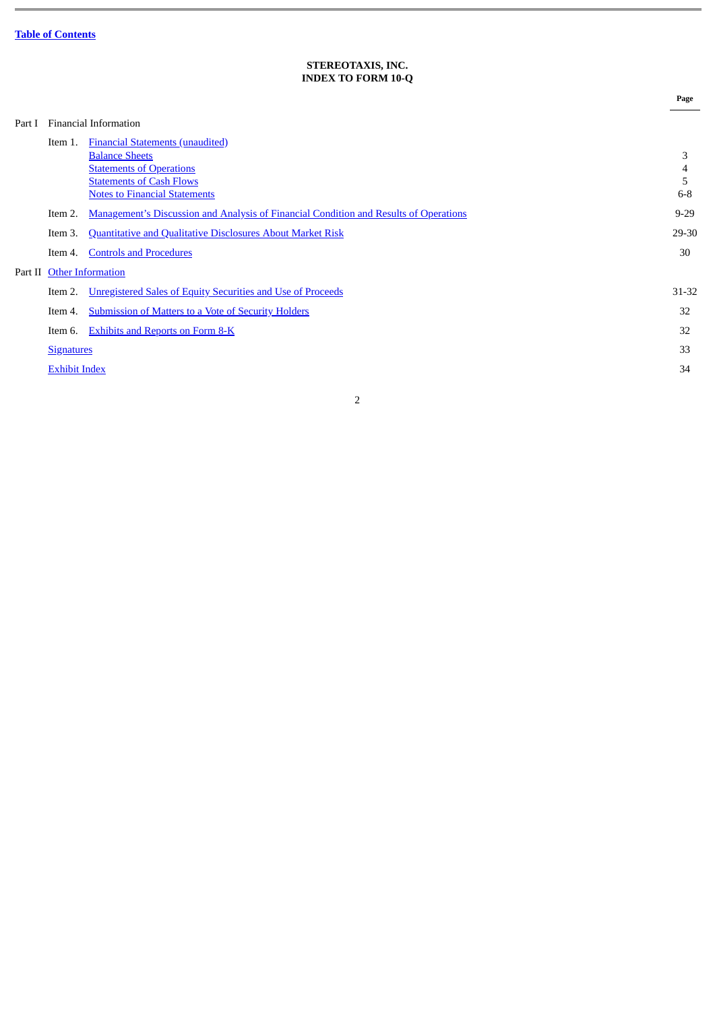## **STEREOTAXIS, INC. INDEX TO FORM 10-Q**

<span id="page-1-0"></span>

|         |                          |                                                                                              | Page     |
|---------|--------------------------|----------------------------------------------------------------------------------------------|----------|
| Part I  |                          | Financial Information                                                                        |          |
|         | Item 1.                  | <b>Financial Statements (unaudited)</b>                                                      |          |
|         |                          | <b>Balance Sheets</b>                                                                        | 3        |
|         |                          | <b>Statements of Operations</b>                                                              | 4        |
|         |                          | <b>Statements of Cash Flows</b>                                                              | 5        |
|         |                          | <b>Notes to Financial Statements</b>                                                         | $6-8$    |
|         | Item 2.                  | <b>Management's Discussion and Analysis of Financial Condition and Results of Operations</b> | $9 - 29$ |
|         | Item 3.                  | <b>Quantitative and Qualitative Disclosures About Market Risk</b>                            | 29-30    |
|         | Item 4.                  | <b>Controls and Procedures</b>                                                               | 30       |
| Part II | <b>Other Information</b> |                                                                                              |          |
|         | Item 2.                  | Unregistered Sales of Equity Securities and Use of Proceeds                                  | 31-32    |
|         | Item 4.                  | <b>Submission of Matters to a Vote of Security Holders</b>                                   | 32       |
|         | Item 6.                  | <b>Exhibits and Reports on Form 8-K</b>                                                      | 32       |
|         | <b>Signatures</b>        |                                                                                              | 33       |
|         | <b>Exhibit Index</b>     |                                                                                              | 34       |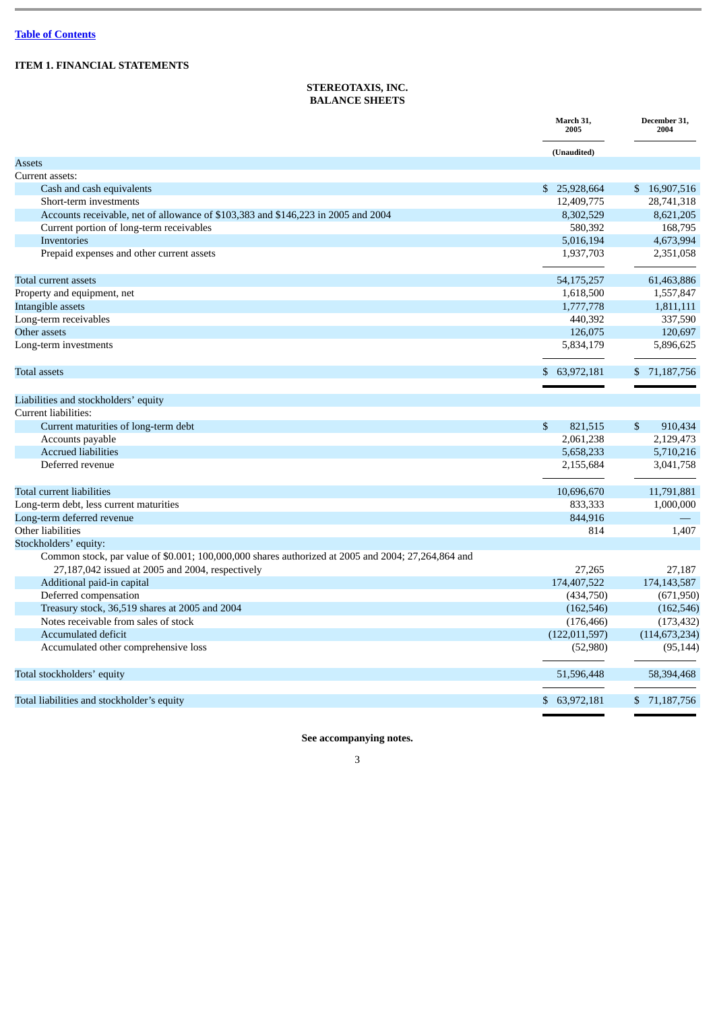## <span id="page-2-1"></span><span id="page-2-0"></span>**ITEM 1. FINANCIAL STATEMENTS**

## **STEREOTAXIS, INC. BALANCE SHEETS**

|                                                                                                    | March 31,<br>2005 | December 31,<br>2004      |
|----------------------------------------------------------------------------------------------------|-------------------|---------------------------|
|                                                                                                    | (Unaudited)       |                           |
| <b>Assets</b>                                                                                      |                   |                           |
| Current assets:                                                                                    |                   |                           |
| Cash and cash equivalents                                                                          | \$ 25,928,664     | \$16,907,516              |
| Short-term investments                                                                             | 12,409,775        | 28,741,318                |
| Accounts receivable, net of allowance of \$103,383 and \$146,223 in 2005 and 2004                  | 8,302,529         | 8,621,205                 |
| Current portion of long-term receivables                                                           | 580,392           | 168,795                   |
| <b>Inventories</b>                                                                                 | 5,016,194         | 4,673,994                 |
| Prepaid expenses and other current assets                                                          | 1,937,703         | 2,351,058                 |
| Total current assets                                                                               | 54,175,257        | 61,463,886                |
| Property and equipment, net                                                                        | 1,618,500         | 1,557,847                 |
| Intangible assets                                                                                  | 1,777,778         | 1,811,111                 |
| Long-term receivables                                                                              | 440,392           | 337,590                   |
| Other assets                                                                                       | 126,075           | 120,697                   |
| Long-term investments                                                                              | 5,834,179         | 5,896,625                 |
| Total assets                                                                                       | \$ 63,972,181     | \$71,187,756              |
|                                                                                                    |                   |                           |
| Liabilities and stockholders' equity                                                               |                   |                           |
| Current liabilities:                                                                               |                   |                           |
| Current maturities of long-term debt                                                               | \$<br>821,515     | $\mathfrak{S}$<br>910,434 |
| Accounts payable                                                                                   | 2,061,238         | 2,129,473                 |
| <b>Accrued liabilities</b>                                                                         | 5,658,233         | 5,710,216                 |
| Deferred revenue                                                                                   | 2,155,684         | 3,041,758                 |
| Total current liabilities                                                                          | 10,696,670        | 11,791,881                |
| Long-term debt, less current maturities                                                            | 833,333           | 1,000,000                 |
| Long-term deferred revenue                                                                         | 844,916           |                           |
| Other liabilities                                                                                  | 814               | 1,407                     |
| Stockholders' equity:                                                                              |                   |                           |
| Common stock, par value of \$0.001; 100,000,000 shares authorized at 2005 and 2004; 27,264,864 and |                   |                           |
| 27,187,042 issued at 2005 and 2004, respectively                                                   | 27,265            | 27,187                    |
| Additional paid-in capital                                                                         | 174,407,522       | 174,143,587               |
| Deferred compensation                                                                              | (434,750)         | (671, 950)                |
| Treasury stock, 36,519 shares at 2005 and 2004                                                     | (162, 546)        | (162, 546)                |
| Notes receivable from sales of stock                                                               | (176, 466)        | (173, 432)                |
| <b>Accumulated deficit</b>                                                                         | (122, 011, 597)   | (114, 673, 234)           |
| Accumulated other comprehensive loss                                                               | (52,980)          | (95, 144)                 |
| Total stockholders' equity                                                                         | 51,596,448        | 58,394,468                |
| Total liabilities and stockholder's equity                                                         | \$63,972,181      | \$71,187,756              |

**See accompanying notes.**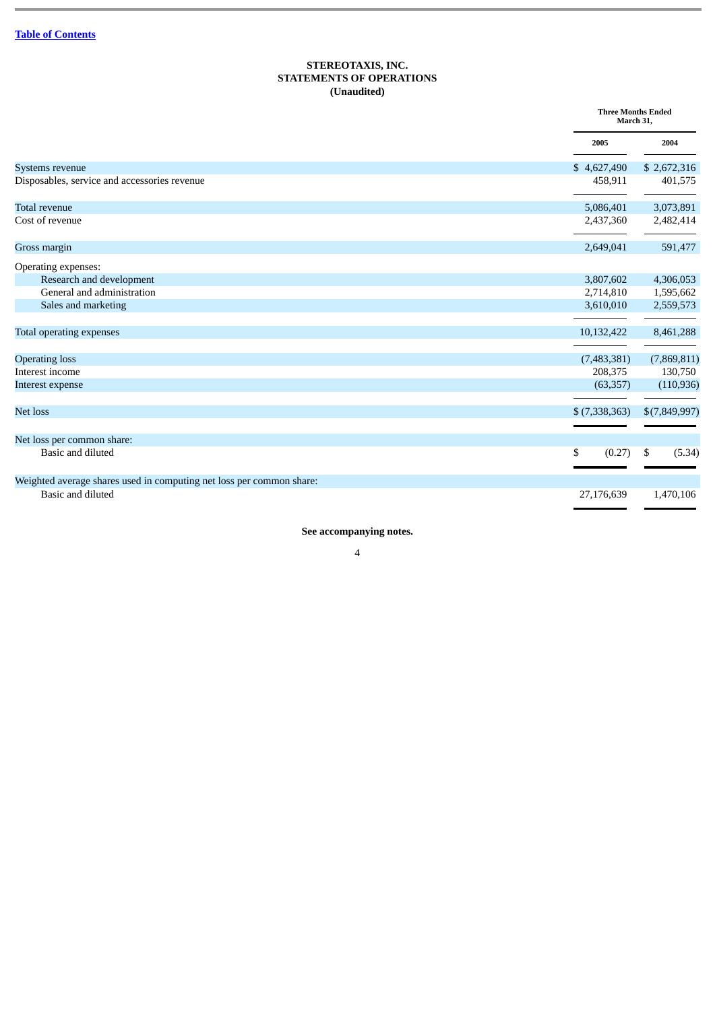## **STEREOTAXIS, INC. STATEMENTS OF OPERATIONS (Unaudited)**

<span id="page-3-0"></span>

|                                                                      |                   | <b>Three Months Ended</b><br>March 31, |  |
|----------------------------------------------------------------------|-------------------|----------------------------------------|--|
|                                                                      | 2005              | 2004                                   |  |
| Systems revenue                                                      | \$4,627,490       | \$2,672,316                            |  |
| Disposables, service and accessories revenue                         | 458,911           | 401,575                                |  |
| Total revenue                                                        | 5,086,401         | 3,073,891                              |  |
| Cost of revenue                                                      | 2,437,360         | 2,482,414                              |  |
| Gross margin                                                         | 2,649,041         | 591,477                                |  |
| Operating expenses:                                                  |                   |                                        |  |
| Research and development                                             | 3,807,602         | 4,306,053                              |  |
| General and administration                                           | 2,714,810         | 1,595,662                              |  |
| Sales and marketing                                                  | 3,610,010         | 2,559,573                              |  |
| Total operating expenses                                             | 10,132,422        | 8,461,288                              |  |
| <b>Operating loss</b>                                                | (7,483,381)       | (7,869,811)                            |  |
| Interest income                                                      | 208,375           | 130,750                                |  |
| Interest expense                                                     | (63, 357)         | (110, 936)                             |  |
| Net loss                                                             | $$$ $(7,338,363)$ | \$(7,849,997)                          |  |
| Net loss per common share:                                           |                   |                                        |  |
| Basic and diluted                                                    | \$<br>(0.27)      | \$<br>(5.34)                           |  |
| Weighted average shares used in computing net loss per common share: |                   |                                        |  |
| Basic and diluted                                                    | 27,176,639        | 1,470,106                              |  |
|                                                                      |                   |                                        |  |

**See accompanying notes.**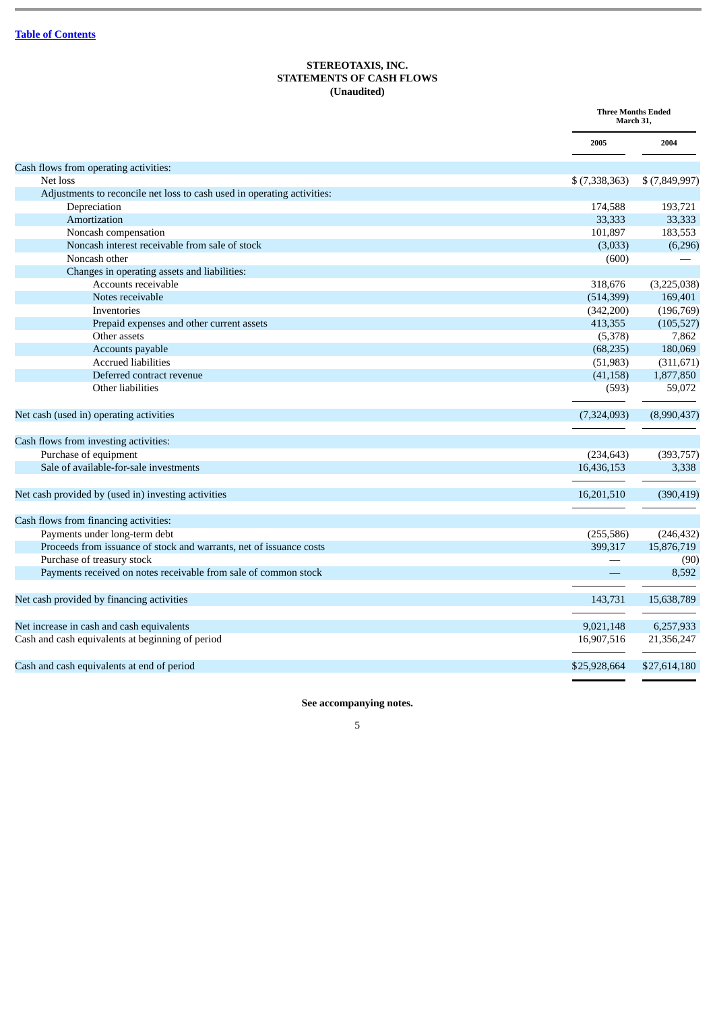## **STEREOTAXIS, INC. STATEMENTS OF CASH FLOWS (Unaudited)**

<span id="page-4-0"></span>

|                                                                         |                          | <b>Three Months Ended</b><br>March 31, |  |
|-------------------------------------------------------------------------|--------------------------|----------------------------------------|--|
|                                                                         | 2005                     | 2004                                   |  |
| Cash flows from operating activities:                                   |                          |                                        |  |
| Net loss                                                                | \$(7,338,363)            | \$(7,849,997)                          |  |
| Adjustments to reconcile net loss to cash used in operating activities: |                          |                                        |  |
| Depreciation                                                            | 174,588                  | 193,721                                |  |
| Amortization                                                            | 33,333                   | 33,333                                 |  |
| Noncash compensation                                                    | 101,897                  | 183,553                                |  |
| Noncash interest receivable from sale of stock                          | (3,033)                  | (6,296)                                |  |
| Noncash other                                                           | (600)                    |                                        |  |
| Changes in operating assets and liabilities:                            |                          |                                        |  |
| Accounts receivable                                                     | 318,676                  | (3,225,038)                            |  |
| Notes receivable                                                        | (514, 399)               | 169,401                                |  |
| Inventories                                                             | (342, 200)               | (196, 769)                             |  |
| Prepaid expenses and other current assets                               | 413,355                  | (105, 527)                             |  |
| Other assets                                                            | (5,378)                  | 7,862                                  |  |
| Accounts payable                                                        | (68, 235)                | 180,069                                |  |
| <b>Accrued liabilities</b>                                              | (51, 983)                | (311, 671)                             |  |
| Deferred contract revenue                                               | (41, 158)                | 1,877,850                              |  |
| Other liabilities                                                       | (593)                    | 59,072                                 |  |
| Net cash (used in) operating activities                                 | (7,324,093)              | (8,990,437)                            |  |
| Cash flows from investing activities:                                   |                          |                                        |  |
| Purchase of equipment                                                   | (234, 643)               | (393,757)                              |  |
| Sale of available-for-sale investments                                  | 16,436,153               | 3,338                                  |  |
| Net cash provided by (used in) investing activities                     | 16,201,510               | (390, 419)                             |  |
| Cash flows from financing activities:                                   |                          |                                        |  |
| Payments under long-term debt                                           | (255, 586)               | (246, 432)                             |  |
| Proceeds from issuance of stock and warrants, net of issuance costs     | 399,317                  | 15,876,719                             |  |
| Purchase of treasury stock                                              |                          | (90)                                   |  |
| Payments received on notes receivable from sale of common stock         | $\overline{\phantom{a}}$ | 8.592                                  |  |
| Net cash provided by financing activities                               | 143,731                  | 15,638,789                             |  |
| Net increase in cash and cash equivalents                               | 9,021,148                | 6,257,933                              |  |
| Cash and cash equivalents at beginning of period                        | 16,907,516               | 21,356,247                             |  |
| Cash and cash equivalents at end of period                              | \$25,928,664             | \$27,614,180                           |  |

**See accompanying notes.**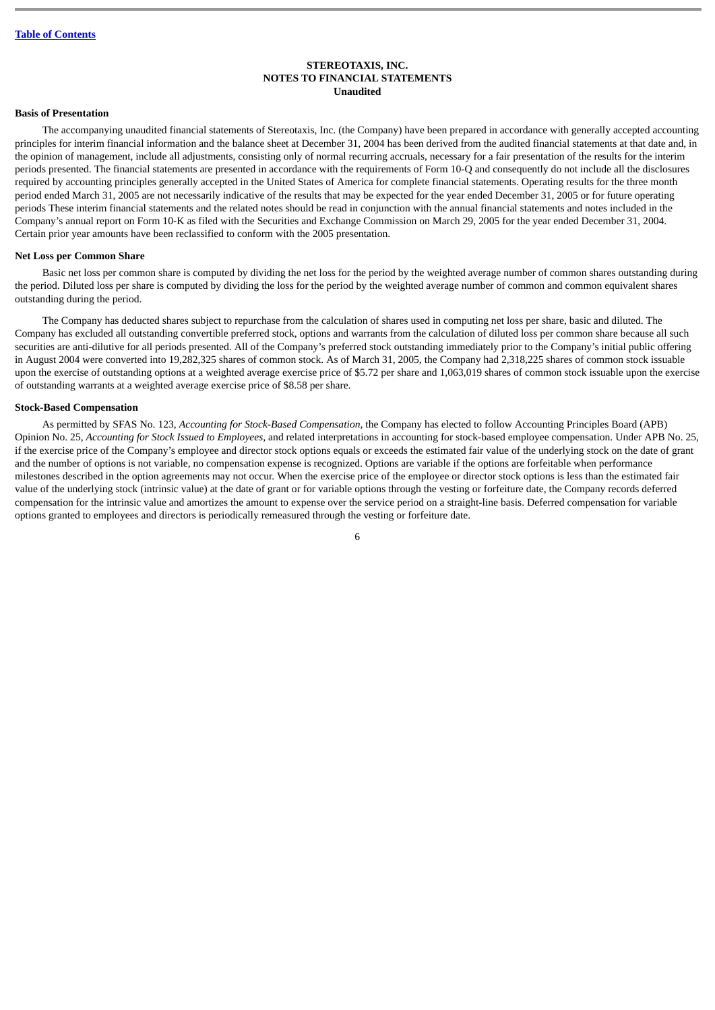## **STEREOTAXIS, INC. NOTES TO FINANCIAL STATEMENTS Unaudited**

#### <span id="page-5-0"></span>**Basis of Presentation**

The accompanying unaudited financial statements of Stereotaxis, Inc. (the Company) have been prepared in accordance with generally accepted accounting principles for interim financial information and the balance sheet at December 31, 2004 has been derived from the audited financial statements at that date and, in the opinion of management, include all adjustments, consisting only of normal recurring accruals, necessary for a fair presentation of the results for the interim periods presented. The financial statements are presented in accordance with the requirements of Form 10-Q and consequently do not include all the disclosures required by accounting principles generally accepted in the United States of America for complete financial statements. Operating results for the three month period ended March 31, 2005 are not necessarily indicative of the results that may be expected for the year ended December 31, 2005 or for future operating periods These interim financial statements and the related notes should be read in conjunction with the annual financial statements and notes included in the Company's annual report on Form 10-K as filed with the Securities and Exchange Commission on March 29, 2005 for the year ended December 31, 2004. Certain prior year amounts have been reclassified to conform with the 2005 presentation.

## **Net Loss per Common Share**

Basic net loss per common share is computed by dividing the net loss for the period by the weighted average number of common shares outstanding during the period. Diluted loss per share is computed by dividing the loss for the period by the weighted average number of common and common equivalent shares outstanding during the period.

The Company has deducted shares subject to repurchase from the calculation of shares used in computing net loss per share, basic and diluted. The Company has excluded all outstanding convertible preferred stock, options and warrants from the calculation of diluted loss per common share because all such securities are anti-dilutive for all periods presented. All of the Company's preferred stock outstanding immediately prior to the Company's initial public offering in August 2004 were converted into 19,282,325 shares of common stock. As of March 31, 2005, the Company had 2,318,225 shares of common stock issuable upon the exercise of outstanding options at a weighted average exercise price of \$5.72 per share and 1,063,019 shares of common stock issuable upon the exercise of outstanding warrants at a weighted average exercise price of \$8.58 per share.

#### **Stock-Based Compensation**

As permitted by SFAS No. 123, *Accounting for Stock-Based Compensation,* the Company has elected to follow Accounting Principles Board (APB) Opinion No. 25, *Accounting for Stock Issued to Employees,* and related interpretations in accounting for stock-based employee compensation. Under APB No. 25, if the exercise price of the Company's employee and director stock options equals or exceeds the estimated fair value of the underlying stock on the date of grant and the number of options is not variable, no compensation expense is recognized. Options are variable if the options are forfeitable when performance milestones described in the option agreements may not occur. When the exercise price of the employee or director stock options is less than the estimated fair value of the underlying stock (intrinsic value) at the date of grant or for variable options through the vesting or forfeiture date, the Company records deferred compensation for the intrinsic value and amortizes the amount to expense over the service period on a straight-line basis. Deferred compensation for variable options granted to employees and directors is periodically remeasured through the vesting or forfeiture date.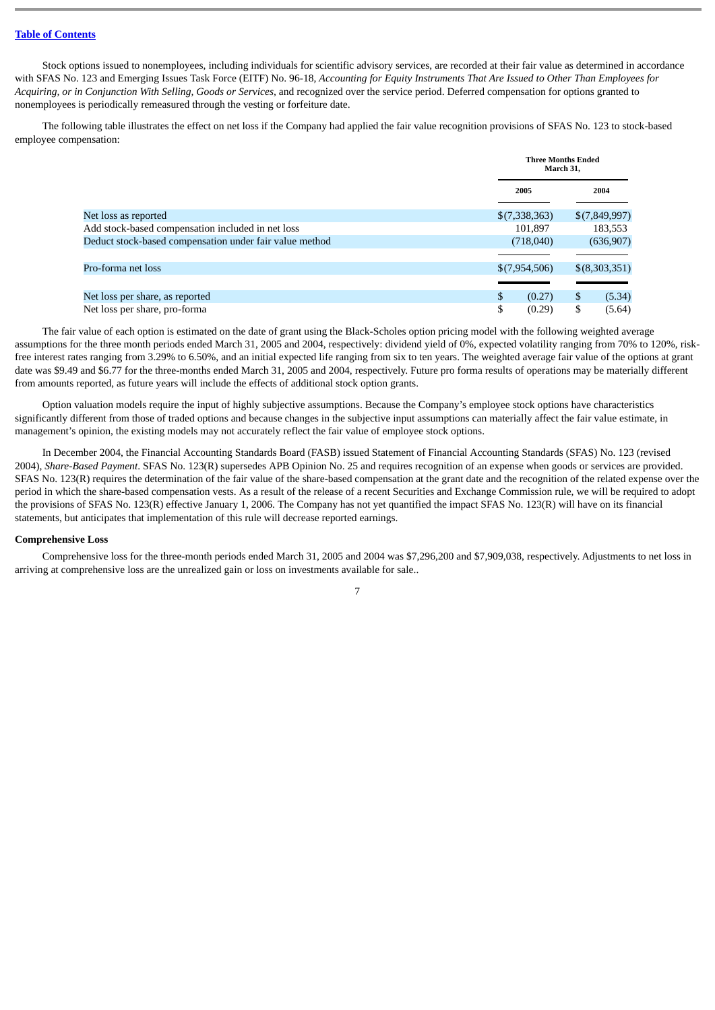Stock options issued to nonemployees, including individuals for scientific advisory services, are recorded at their fair value as determined in accordance with SFAS No. 123 and Emerging Issues Task Force (EITF) No. 96-18, *Accounting for Equity Instruments That Are Issued to Other Than Employees for Acquiring, or in Conjunction With Selling, Goods or Services,* and recognized over the service period. Deferred compensation for options granted to nonemployees is periodically remeasured through the vesting or forfeiture date.

The following table illustrates the effect on net loss if the Company had applied the fair value recognition provisions of SFAS No. 123 to stock-based employee compensation:

|                                                         | <b>Three Months Ended</b><br>March 31, |               |    |               |
|---------------------------------------------------------|----------------------------------------|---------------|----|---------------|
|                                                         |                                        | 2005          |    | 2004          |
| Net loss as reported                                    |                                        | \$(7,338,363) |    | \$(7,849,997) |
| Add stock-based compensation included in net loss       |                                        | 101,897       |    | 183,553       |
| Deduct stock-based compensation under fair value method |                                        | (718,040)     |    | (636, 907)    |
|                                                         |                                        |               |    |               |
| Pro-forma net loss                                      |                                        | \$(7,954,506) |    | \$(8,303,351) |
|                                                         |                                        |               |    |               |
| Net loss per share, as reported                         | \$                                     | (0.27)        | \$ | (5.34)        |
| Net loss per share, pro-forma                           | \$                                     | (0.29)        | \$ | (5.64)        |

The fair value of each option is estimated on the date of grant using the Black-Scholes option pricing model with the following weighted average assumptions for the three month periods ended March 31, 2005 and 2004, respectively: dividend yield of 0%, expected volatility ranging from 70% to 120%, riskfree interest rates ranging from 3.29% to 6.50%, and an initial expected life ranging from six to ten years. The weighted average fair value of the options at grant date was \$9.49 and \$6.77 for the three-months ended March 31, 2005 and 2004, respectively. Future pro forma results of operations may be materially different from amounts reported, as future years will include the effects of additional stock option grants.

Option valuation models require the input of highly subjective assumptions. Because the Company's employee stock options have characteristics significantly different from those of traded options and because changes in the subjective input assumptions can materially affect the fair value estimate, in management's opinion, the existing models may not accurately reflect the fair value of employee stock options.

In December 2004, the Financial Accounting Standards Board (FASB) issued Statement of Financial Accounting Standards (SFAS) No. 123 (revised 2004), *Share-Based Payment*. SFAS No. 123(R) supersedes APB Opinion No. 25 and requires recognition of an expense when goods or services are provided. SFAS No. 123(R) requires the determination of the fair value of the share-based compensation at the grant date and the recognition of the related expense over the period in which the share-based compensation vests. As a result of the release of a recent Securities and Exchange Commission rule, we will be required to adopt the provisions of SFAS No. 123(R) effective January 1, 2006. The Company has not yet quantified the impact SFAS No. 123(R) will have on its financial statements, but anticipates that implementation of this rule will decrease reported earnings.

#### **Comprehensive Loss**

Comprehensive loss for the three-month periods ended March 31, 2005 and 2004 was \$7,296,200 and \$7,909,038, respectively. Adjustments to net loss in arriving at comprehensive loss are the unrealized gain or loss on investments available for sale..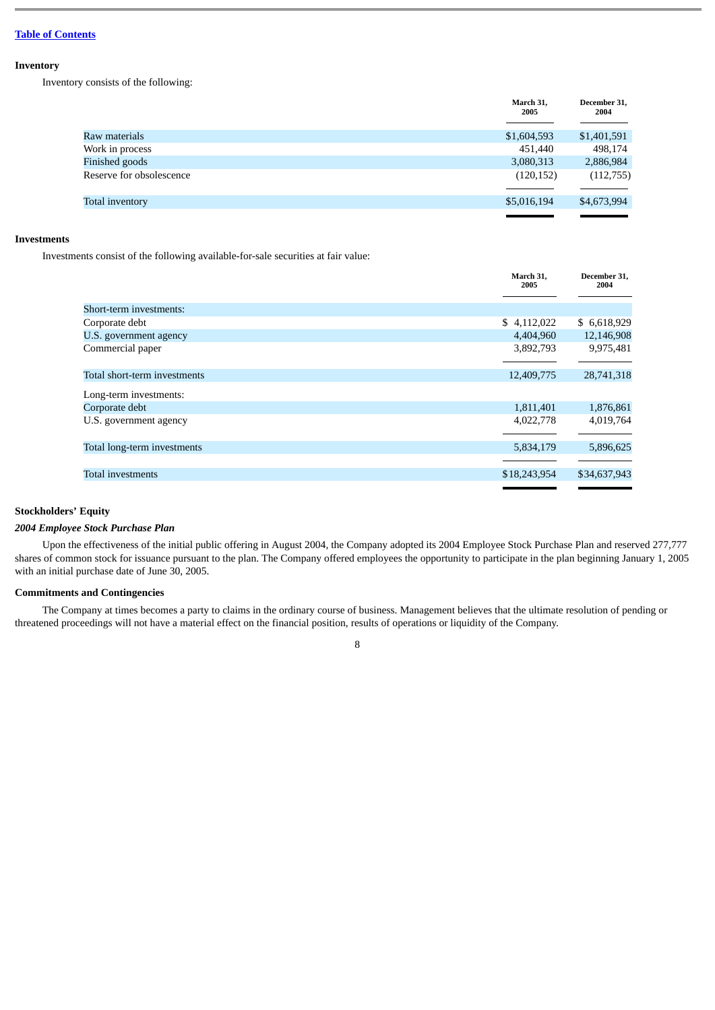## **Inventory**

Inventory consists of the following:

| March 31,<br>2005 | December 31,<br>2004 |
|-------------------|----------------------|
| \$1,604,593       | \$1,401,591          |
| 451,440           | 498,174              |
| 3,080,313         | 2,886,984            |
| (120, 152)        | (112, 755)           |
| \$5,016,194       | \$4,673,994          |
|                   |                      |

## **Investments**

Investments consist of the following available-for-sale securities at fair value:

|                              | March 31,<br>2005 | December 31,<br>2004 |
|------------------------------|-------------------|----------------------|
| Short-term investments:      |                   |                      |
| Corporate debt               | \$4,112,022       | \$6,618,929          |
| U.S. government agency       | 4,404,960         | 12,146,908           |
| Commercial paper             | 3,892,793         | 9,975,481            |
| Total short-term investments | 12,409,775        | 28,741,318           |
| Long-term investments:       |                   |                      |
| Corporate debt               | 1,811,401         | 1,876,861            |
| U.S. government agency       | 4,022,778         | 4,019,764            |
|                              |                   |                      |
| Total long-term investments  | 5,834,179         | 5,896,625            |
|                              |                   |                      |
| <b>Total investments</b>     | \$18,243,954      | \$34,637,943         |
|                              |                   |                      |

## **Stockholders' Equity**

#### *2004 Employee Stock Purchase Plan*

Upon the effectiveness of the initial public offering in August 2004, the Company adopted its 2004 Employee Stock Purchase Plan and reserved 277,777 shares of common stock for issuance pursuant to the plan. The Company offered employees the opportunity to participate in the plan beginning January 1, 2005 with an initial purchase date of June 30, 2005.

#### **Commitments and Contingencies**

The Company at times becomes a party to claims in the ordinary course of business. Management believes that the ultimate resolution of pending or threatened proceedings will not have a material effect on the financial position, results of operations or liquidity of the Company.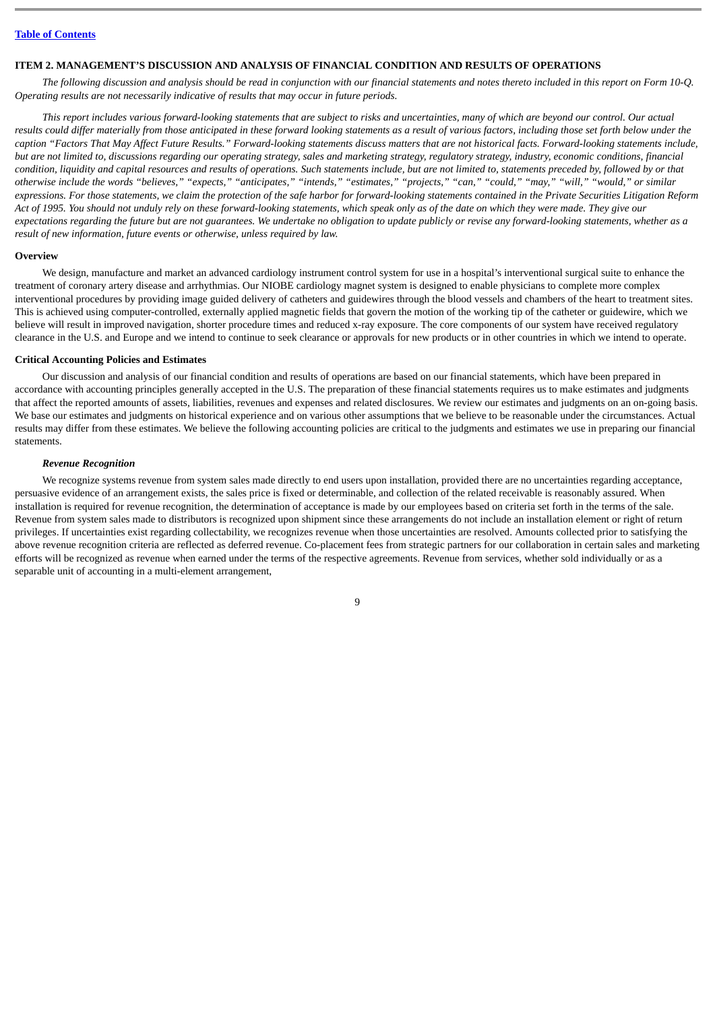#### <span id="page-8-0"></span>**ITEM 2. MANAGEMENT'S DISCUSSION AND ANALYSIS OF FINANCIAL CONDITION AND RESULTS OF OPERATIONS**

*The following discussion and analysis should be read in conjunction with our financial statements and notes thereto included in this report on Form 10-Q. Operating results are not necessarily indicative of results that may occur in future periods.*

*This report includes various forward-looking statements that are subject to risks and uncertainties, many of which are beyond our control. Our actual results could differ materially from those anticipated in these forward looking statements as a result of various factors, including those set forth below under the caption "Factors That May Affect Future Results." Forward-looking statements discuss matters that are not historical facts. Forward-looking statements include, but are not limited to, discussions regarding our operating strategy, sales and marketing strategy, regulatory strategy, industry, economic conditions, financial condition, liquidity and capital resources and results of operations. Such statements include, but are not limited to, statements preceded by, followed by or that otherwise include the words "believes," "expects," "anticipates," "intends," "estimates," "projects," "can," "could," "may," "will," "would," or similar expressions. For those statements, we claim the protection of the safe harbor for forward-looking statements contained in the Private Securities Litigation Reform Act of 1995. You should not unduly rely on these forward-looking statements, which speak only as of the date on which they were made. They give our expectations regarding the future but are not guarantees. We undertake no obligation to update publicly or revise any forward-looking statements, whether as a result of new information, future events or otherwise, unless required by law.*

#### **Overview**

We design, manufacture and market an advanced cardiology instrument control system for use in a hospital's interventional surgical suite to enhance the treatment of coronary artery disease and arrhythmias. Our NIOBE cardiology magnet system is designed to enable physicians to complete more complex interventional procedures by providing image guided delivery of catheters and guidewires through the blood vessels and chambers of the heart to treatment sites. This is achieved using computer-controlled, externally applied magnetic fields that govern the motion of the working tip of the catheter or guidewire, which we believe will result in improved navigation, shorter procedure times and reduced x-ray exposure. The core components of our system have received regulatory clearance in the U.S. and Europe and we intend to continue to seek clearance or approvals for new products or in other countries in which we intend to operate.

#### **Critical Accounting Policies and Estimates**

Our discussion and analysis of our financial condition and results of operations are based on our financial statements, which have been prepared in accordance with accounting principles generally accepted in the U.S. The preparation of these financial statements requires us to make estimates and judgments that affect the reported amounts of assets, liabilities, revenues and expenses and related disclosures. We review our estimates and judgments on an on-going basis. We base our estimates and judgments on historical experience and on various other assumptions that we believe to be reasonable under the circumstances. Actual results may differ from these estimates. We believe the following accounting policies are critical to the judgments and estimates we use in preparing our financial statements.

#### *Revenue Recognition*

We recognize systems revenue from system sales made directly to end users upon installation, provided there are no uncertainties regarding acceptance, persuasive evidence of an arrangement exists, the sales price is fixed or determinable, and collection of the related receivable is reasonably assured. When installation is required for revenue recognition, the determination of acceptance is made by our employees based on criteria set forth in the terms of the sale. Revenue from system sales made to distributors is recognized upon shipment since these arrangements do not include an installation element or right of return privileges. If uncertainties exist regarding collectability, we recognizes revenue when those uncertainties are resolved. Amounts collected prior to satisfying the above revenue recognition criteria are reflected as deferred revenue. Co-placement fees from strategic partners for our collaboration in certain sales and marketing efforts will be recognized as revenue when earned under the terms of the respective agreements. Revenue from services, whether sold individually or as a separable unit of accounting in a multi-element arrangement,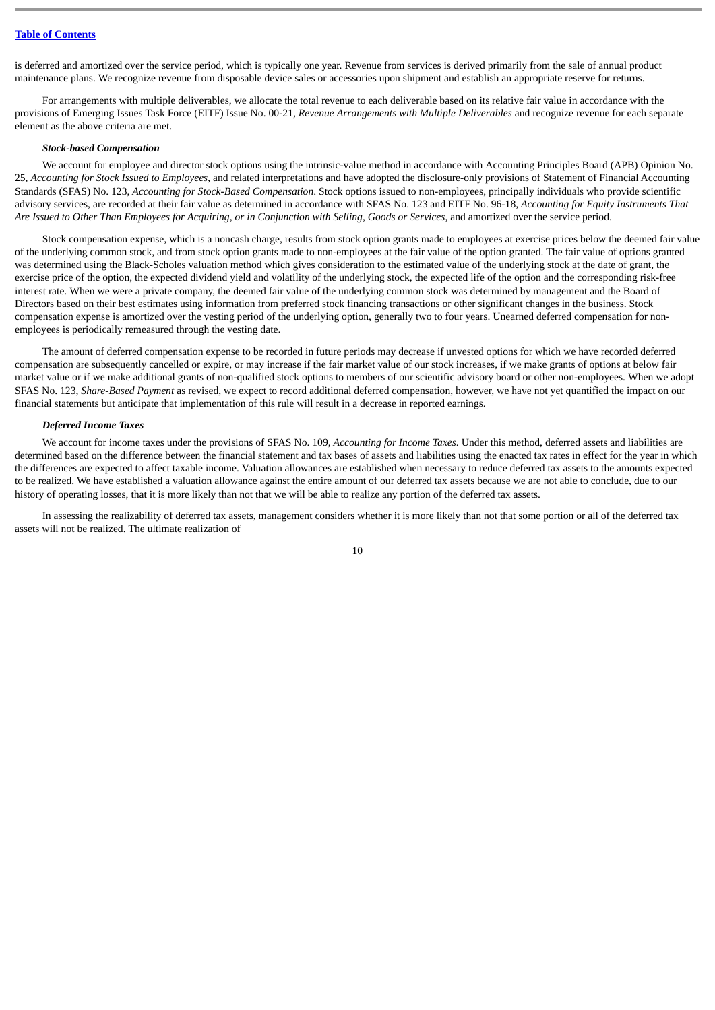is deferred and amortized over the service period, which is typically one year. Revenue from services is derived primarily from the sale of annual product maintenance plans. We recognize revenue from disposable device sales or accessories upon shipment and establish an appropriate reserve for returns.

For arrangements with multiple deliverables, we allocate the total revenue to each deliverable based on its relative fair value in accordance with the provisions of Emerging Issues Task Force (EITF) Issue No. 00-21, *Revenue Arrangements with Multiple Deliverables* and recognize revenue for each separate element as the above criteria are met.

#### *Stock-based Compensation*

We account for employee and director stock options using the intrinsic-value method in accordance with Accounting Principles Board (APB) Opinion No. 25, *Accounting for Stock Issued to Employees*, and related interpretations and have adopted the disclosure-only provisions of Statement of Financial Accounting Standards (SFAS) No. 123, *Accounting for Stock-Based Compensation*. Stock options issued to non-employees, principally individuals who provide scientific advisory services, are recorded at their fair value as determined in accordance with SFAS No. 123 and EITF No. 96-18, *Accounting for Equity Instruments That Are Issued to Other Than Employees for Acquiring, or in Conjunction with Selling, Goods or Services*, and amortized over the service period.

Stock compensation expense, which is a noncash charge, results from stock option grants made to employees at exercise prices below the deemed fair value of the underlying common stock, and from stock option grants made to non-employees at the fair value of the option granted. The fair value of options granted was determined using the Black-Scholes valuation method which gives consideration to the estimated value of the underlying stock at the date of grant, the exercise price of the option, the expected dividend yield and volatility of the underlying stock, the expected life of the option and the corresponding risk-free interest rate. When we were a private company, the deemed fair value of the underlying common stock was determined by management and the Board of Directors based on their best estimates using information from preferred stock financing transactions or other significant changes in the business. Stock compensation expense is amortized over the vesting period of the underlying option, generally two to four years. Unearned deferred compensation for nonemployees is periodically remeasured through the vesting date.

The amount of deferred compensation expense to be recorded in future periods may decrease if unvested options for which we have recorded deferred compensation are subsequently cancelled or expire, or may increase if the fair market value of our stock increases, if we make grants of options at below fair market value or if we make additional grants of non-qualified stock options to members of our scientific advisory board or other non-employees. When we adopt SFAS No. 123, *Share-Based Payment* as revised, we expect to record additional deferred compensation, however, we have not yet quantified the impact on our financial statements but anticipate that implementation of this rule will result in a decrease in reported earnings.

#### *Deferred Income Taxes*

We account for income taxes under the provisions of SFAS No. 109, *Accounting for Income Taxes*. Under this method, deferred assets and liabilities are determined based on the difference between the financial statement and tax bases of assets and liabilities using the enacted tax rates in effect for the year in which the differences are expected to affect taxable income. Valuation allowances are established when necessary to reduce deferred tax assets to the amounts expected to be realized. We have established a valuation allowance against the entire amount of our deferred tax assets because we are not able to conclude, due to our history of operating losses, that it is more likely than not that we will be able to realize any portion of the deferred tax assets.

In assessing the realizability of deferred tax assets, management considers whether it is more likely than not that some portion or all of the deferred tax assets will not be realized. The ultimate realization of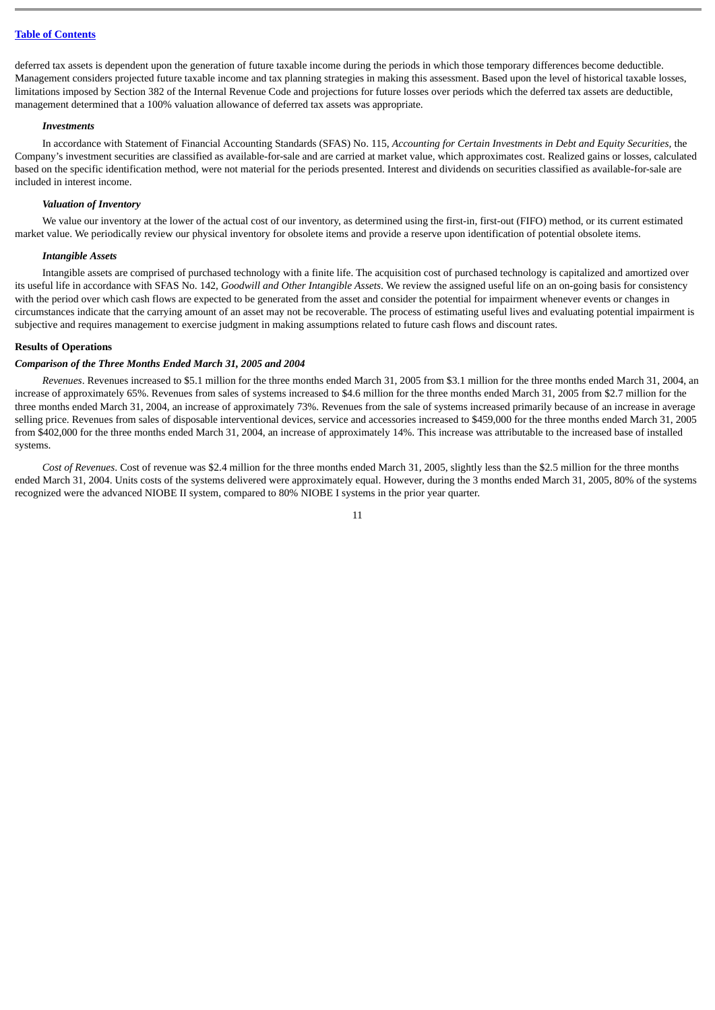deferred tax assets is dependent upon the generation of future taxable income during the periods in which those temporary differences become deductible. Management considers projected future taxable income and tax planning strategies in making this assessment. Based upon the level of historical taxable losses, limitations imposed by Section 382 of the Internal Revenue Code and projections for future losses over periods which the deferred tax assets are deductible, management determined that a 100% valuation allowance of deferred tax assets was appropriate.

#### *Investments*

In accordance with Statement of Financial Accounting Standards (SFAS) No. 115, *Accounting for Certain Investments in Debt and Equity Securities,* the Company's investment securities are classified as available-for-sale and are carried at market value, which approximates cost. Realized gains or losses, calculated based on the specific identification method, were not material for the periods presented. Interest and dividends on securities classified as available-for-sale are included in interest income.

#### *Valuation of Inventory*

We value our inventory at the lower of the actual cost of our inventory, as determined using the first-in, first-out (FIFO) method, or its current estimated market value. We periodically review our physical inventory for obsolete items and provide a reserve upon identification of potential obsolete items.

## *Intangible Assets*

Intangible assets are comprised of purchased technology with a finite life. The acquisition cost of purchased technology is capitalized and amortized over its useful life in accordance with SFAS No. 142, *Goodwill and Other Intangible Assets*. We review the assigned useful life on an on-going basis for consistency with the period over which cash flows are expected to be generated from the asset and consider the potential for impairment whenever events or changes in circumstances indicate that the carrying amount of an asset may not be recoverable. The process of estimating useful lives and evaluating potential impairment is subjective and requires management to exercise judgment in making assumptions related to future cash flows and discount rates.

#### **Results of Operations**

#### *Comparison of the Three Months Ended March 31, 2005 and 2004*

*Revenues*. Revenues increased to \$5.1 million for the three months ended March 31, 2005 from \$3.1 million for the three months ended March 31, 2004, an increase of approximately 65%. Revenues from sales of systems increased to \$4.6 million for the three months ended March 31, 2005 from \$2.7 million for the three months ended March 31, 2004, an increase of approximately 73%. Revenues from the sale of systems increased primarily because of an increase in average selling price. Revenues from sales of disposable interventional devices, service and accessories increased to \$459,000 for the three months ended March 31, 2005 from \$402,000 for the three months ended March 31, 2004, an increase of approximately 14%. This increase was attributable to the increased base of installed systems.

*Cost of Revenues*. Cost of revenue was \$2.4 million for the three months ended March 31, 2005, slightly less than the \$2.5 million for the three months ended March 31, 2004. Units costs of the systems delivered were approximately equal. However, during the 3 months ended March 31, 2005, 80% of the systems recognized were the advanced NIOBE II system, compared to 80% NIOBE I systems in the prior year quarter.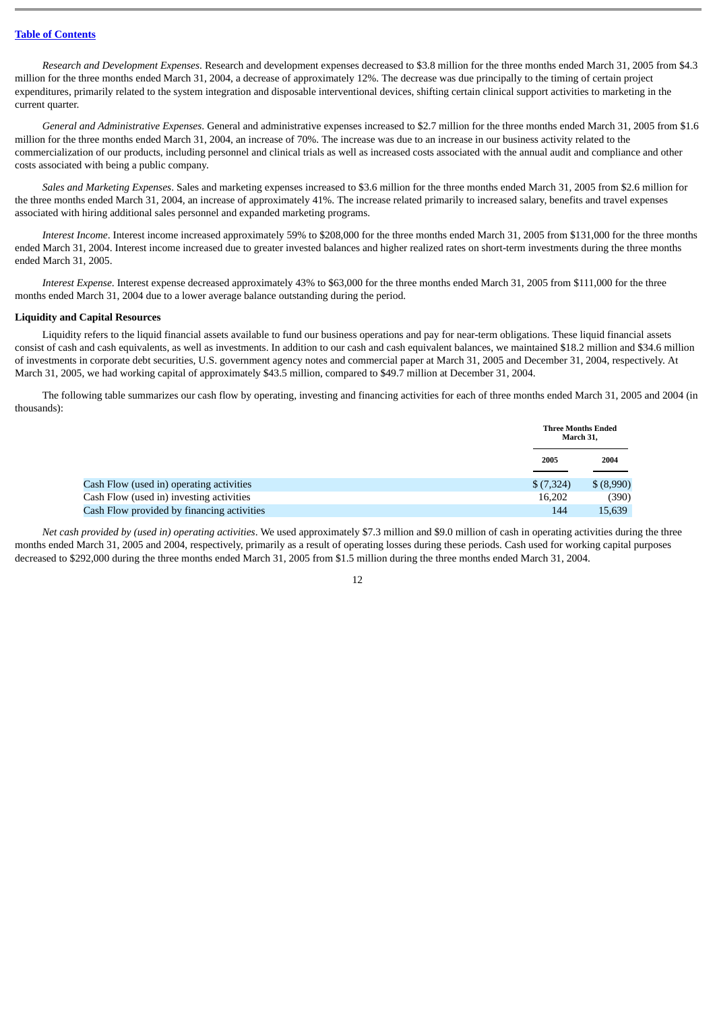*Research and Development Expenses*. Research and development expenses decreased to \$3.8 million for the three months ended March 31, 2005 from \$4.3 million for the three months ended March 31, 2004, a decrease of approximately 12%. The decrease was due principally to the timing of certain project expenditures, primarily related to the system integration and disposable interventional devices, shifting certain clinical support activities to marketing in the current quarter.

*General and Administrative Expenses*. General and administrative expenses increased to \$2.7 million for the three months ended March 31, 2005 from \$1.6 million for the three months ended March 31, 2004, an increase of 70%. The increase was due to an increase in our business activity related to the commercialization of our products, including personnel and clinical trials as well as increased costs associated with the annual audit and compliance and other costs associated with being a public company.

*Sales and Marketing Expenses*. Sales and marketing expenses increased to \$3.6 million for the three months ended March 31, 2005 from \$2.6 million for the three months ended March 31, 2004, an increase of approximately 41%. The increase related primarily to increased salary, benefits and travel expenses associated with hiring additional sales personnel and expanded marketing programs.

*Interest Income*. Interest income increased approximately 59% to \$208,000 for the three months ended March 31, 2005 from \$131,000 for the three months ended March 31, 2004. Interest income increased due to greater invested balances and higher realized rates on short-term investments during the three months ended March 31, 2005.

*Interest Expense*. Interest expense decreased approximately 43% to \$63,000 for the three months ended March 31, 2005 from \$111,000 for the three months ended March 31, 2004 due to a lower average balance outstanding during the period.

#### **Liquidity and Capital Resources**

Liquidity refers to the liquid financial assets available to fund our business operations and pay for near-term obligations. These liquid financial assets consist of cash and cash equivalents, as well as investments. In addition to our cash and cash equivalent balances, we maintained \$18.2 million and \$34.6 million of investments in corporate debt securities, U.S. government agency notes and commercial paper at March 31, 2005 and December 31, 2004, respectively. At March 31, 2005, we had working capital of approximately \$43.5 million, compared to \$49.7 million at December 31, 2004.

The following table summarizes our cash flow by operating, investing and financing activities for each of three months ended March 31, 2005 and 2004 (in thousands):

|                                            |           | <b>Three Months Ended</b><br>March 31, |  |
|--------------------------------------------|-----------|----------------------------------------|--|
|                                            | 2005      | 2004                                   |  |
| Cash Flow (used in) operating activities   | \$(7,324) | \$ (8,990)                             |  |
| Cash Flow (used in) investing activities   | 16,202    | (390)                                  |  |
| Cash Flow provided by financing activities | 144       | 15,639                                 |  |

*Net cash provided by (used in) operating activities*. We used approximately \$7.3 million and \$9.0 million of cash in operating activities during the three months ended March 31, 2005 and 2004, respectively, primarily as a result of operating losses during these periods. Cash used for working capital purposes decreased to \$292,000 during the three months ended March 31, 2005 from \$1.5 million during the three months ended March 31, 2004.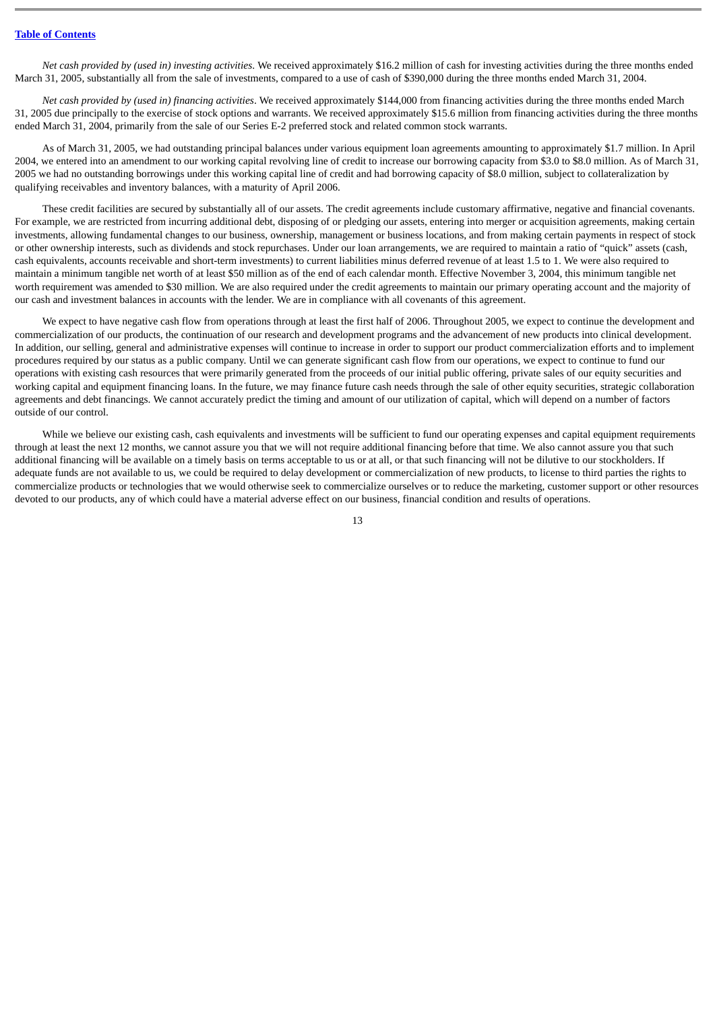*Net cash provided by (used in) investing activities*. We received approximately \$16.2 million of cash for investing activities during the three months ended March 31, 2005, substantially all from the sale of investments, compared to a use of cash of \$390,000 during the three months ended March 31, 2004.

*Net cash provided by (used in) financing activities*. We received approximately \$144,000 from financing activities during the three months ended March 31, 2005 due principally to the exercise of stock options and warrants. We received approximately \$15.6 million from financing activities during the three months ended March 31, 2004, primarily from the sale of our Series E-2 preferred stock and related common stock warrants.

As of March 31, 2005, we had outstanding principal balances under various equipment loan agreements amounting to approximately \$1.7 million. In April 2004, we entered into an amendment to our working capital revolving line of credit to increase our borrowing capacity from \$3.0 to \$8.0 million. As of March 31, 2005 we had no outstanding borrowings under this working capital line of credit and had borrowing capacity of \$8.0 million, subject to collateralization by qualifying receivables and inventory balances, with a maturity of April 2006.

These credit facilities are secured by substantially all of our assets. The credit agreements include customary affirmative, negative and financial covenants. For example, we are restricted from incurring additional debt, disposing of or pledging our assets, entering into merger or acquisition agreements, making certain investments, allowing fundamental changes to our business, ownership, management or business locations, and from making certain payments in respect of stock or other ownership interests, such as dividends and stock repurchases. Under our loan arrangements, we are required to maintain a ratio of "quick" assets (cash, cash equivalents, accounts receivable and short-term investments) to current liabilities minus deferred revenue of at least 1.5 to 1. We were also required to maintain a minimum tangible net worth of at least \$50 million as of the end of each calendar month. Effective November 3, 2004, this minimum tangible net worth requirement was amended to \$30 million. We are also required under the credit agreements to maintain our primary operating account and the majority of our cash and investment balances in accounts with the lender. We are in compliance with all covenants of this agreement.

We expect to have negative cash flow from operations through at least the first half of 2006. Throughout 2005, we expect to continue the development and commercialization of our products, the continuation of our research and development programs and the advancement of new products into clinical development. In addition, our selling, general and administrative expenses will continue to increase in order to support our product commercialization efforts and to implement procedures required by our status as a public company. Until we can generate significant cash flow from our operations, we expect to continue to fund our operations with existing cash resources that were primarily generated from the proceeds of our initial public offering, private sales of our equity securities and working capital and equipment financing loans. In the future, we may finance future cash needs through the sale of other equity securities, strategic collaboration agreements and debt financings. We cannot accurately predict the timing and amount of our utilization of capital, which will depend on a number of factors outside of our control.

While we believe our existing cash, cash equivalents and investments will be sufficient to fund our operating expenses and capital equipment requirements through at least the next 12 months, we cannot assure you that we will not require additional financing before that time. We also cannot assure you that such additional financing will be available on a timely basis on terms acceptable to us or at all, or that such financing will not be dilutive to our stockholders. If adequate funds are not available to us, we could be required to delay development or commercialization of new products, to license to third parties the rights to commercialize products or technologies that we would otherwise seek to commercialize ourselves or to reduce the marketing, customer support or other resources devoted to our products, any of which could have a material adverse effect on our business, financial condition and results of operations.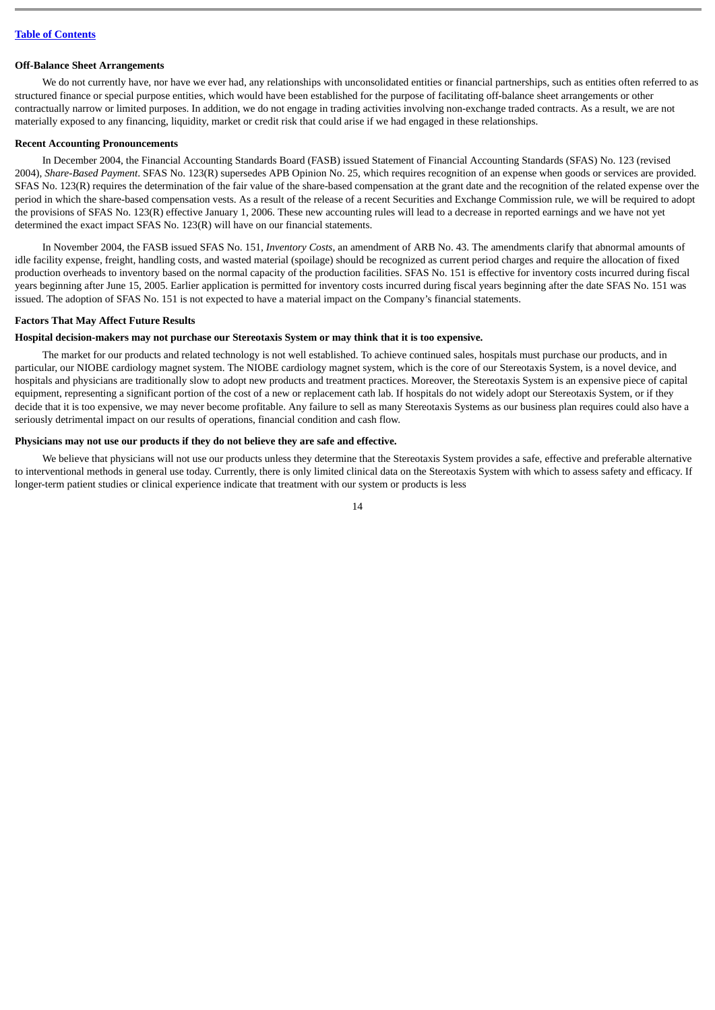#### **Off-Balance Sheet Arrangements**

We do not currently have, nor have we ever had, any relationships with unconsolidated entities or financial partnerships, such as entities often referred to as structured finance or special purpose entities, which would have been established for the purpose of facilitating off-balance sheet arrangements or other contractually narrow or limited purposes. In addition, we do not engage in trading activities involving non-exchange traded contracts. As a result, we are not materially exposed to any financing, liquidity, market or credit risk that could arise if we had engaged in these relationships.

#### **Recent Accounting Pronouncements**

In December 2004, the Financial Accounting Standards Board (FASB) issued Statement of Financial Accounting Standards (SFAS) No. 123 (revised 2004), *Share-Based Payment*. SFAS No. 123(R) supersedes APB Opinion No. 25, which requires recognition of an expense when goods or services are provided. SFAS No. 123(R) requires the determination of the fair value of the share-based compensation at the grant date and the recognition of the related expense over the period in which the share-based compensation vests. As a result of the release of a recent Securities and Exchange Commission rule, we will be required to adopt the provisions of SFAS No. 123(R) effective January 1, 2006. These new accounting rules will lead to a decrease in reported earnings and we have not yet determined the exact impact SFAS No. 123(R) will have on our financial statements.

In November 2004, the FASB issued SFAS No. 151, *Inventory Costs*, an amendment of ARB No. 43. The amendments clarify that abnormal amounts of idle facility expense, freight, handling costs, and wasted material (spoilage) should be recognized as current period charges and require the allocation of fixed production overheads to inventory based on the normal capacity of the production facilities. SFAS No. 151 is effective for inventory costs incurred during fiscal years beginning after June 15, 2005. Earlier application is permitted for inventory costs incurred during fiscal years beginning after the date SFAS No. 151 was issued. The adoption of SFAS No. 151 is not expected to have a material impact on the Company's financial statements.

#### **Factors That May Affect Future Results**

#### **Hospital decision-makers may not purchase our Stereotaxis System or may think that it is too expensive.**

The market for our products and related technology is not well established. To achieve continued sales, hospitals must purchase our products, and in particular, our NIOBE cardiology magnet system. The NIOBE cardiology magnet system, which is the core of our Stereotaxis System, is a novel device, and hospitals and physicians are traditionally slow to adopt new products and treatment practices. Moreover, the Stereotaxis System is an expensive piece of capital equipment, representing a significant portion of the cost of a new or replacement cath lab. If hospitals do not widely adopt our Stereotaxis System, or if they decide that it is too expensive, we may never become profitable. Any failure to sell as many Stereotaxis Systems as our business plan requires could also have a seriously detrimental impact on our results of operations, financial condition and cash flow.

## **Physicians may not use our products if they do not believe they are safe and effective.**

We believe that physicians will not use our products unless they determine that the Stereotaxis System provides a safe, effective and preferable alternative to interventional methods in general use today. Currently, there is only limited clinical data on the Stereotaxis System with which to assess safety and efficacy. If longer-term patient studies or clinical experience indicate that treatment with our system or products is less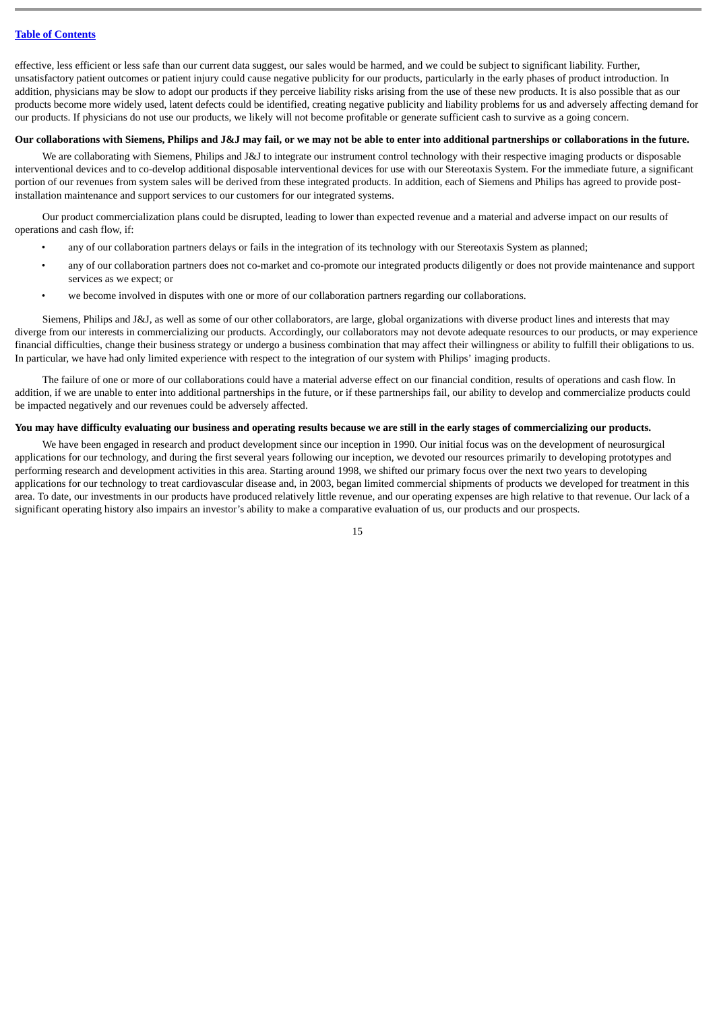effective, less efficient or less safe than our current data suggest, our sales would be harmed, and we could be subject to significant liability. Further, unsatisfactory patient outcomes or patient injury could cause negative publicity for our products, particularly in the early phases of product introduction. In addition, physicians may be slow to adopt our products if they perceive liability risks arising from the use of these new products. It is also possible that as our products become more widely used, latent defects could be identified, creating negative publicity and liability problems for us and adversely affecting demand for our products. If physicians do not use our products, we likely will not become profitable or generate sufficient cash to survive as a going concern.

#### **Our collaborations with Siemens, Philips and J&J may fail, or we may not be able to enter into additional partnerships or collaborations in the future.**

We are collaborating with Siemens, Philips and J&J to integrate our instrument control technology with their respective imaging products or disposable interventional devices and to co-develop additional disposable interventional devices for use with our Stereotaxis System. For the immediate future, a significant portion of our revenues from system sales will be derived from these integrated products. In addition, each of Siemens and Philips has agreed to provide postinstallation maintenance and support services to our customers for our integrated systems.

Our product commercialization plans could be disrupted, leading to lower than expected revenue and a material and adverse impact on our results of operations and cash flow, if:

- any of our collaboration partners delays or fails in the integration of its technology with our Stereotaxis System as planned;
- any of our collaboration partners does not co-market and co-promote our integrated products diligently or does not provide maintenance and support services as we expect; or
- we become involved in disputes with one or more of our collaboration partners regarding our collaborations.

Siemens, Philips and J&J, as well as some of our other collaborators, are large, global organizations with diverse product lines and interests that may diverge from our interests in commercializing our products. Accordingly, our collaborators may not devote adequate resources to our products, or may experience financial difficulties, change their business strategy or undergo a business combination that may affect their willingness or ability to fulfill their obligations to us. In particular, we have had only limited experience with respect to the integration of our system with Philips' imaging products.

The failure of one or more of our collaborations could have a material adverse effect on our financial condition, results of operations and cash flow. In addition, if we are unable to enter into additional partnerships in the future, or if these partnerships fail, our ability to develop and commercialize products could be impacted negatively and our revenues could be adversely affected.

## **You may have difficulty evaluating our business and operating results because we are still in the early stages of commercializing our products.**

We have been engaged in research and product development since our inception in 1990. Our initial focus was on the development of neurosurgical applications for our technology, and during the first several years following our inception, we devoted our resources primarily to developing prototypes and performing research and development activities in this area. Starting around 1998, we shifted our primary focus over the next two years to developing applications for our technology to treat cardiovascular disease and, in 2003, began limited commercial shipments of products we developed for treatment in this area. To date, our investments in our products have produced relatively little revenue, and our operating expenses are high relative to that revenue. Our lack of a significant operating history also impairs an investor's ability to make a comparative evaluation of us, our products and our prospects.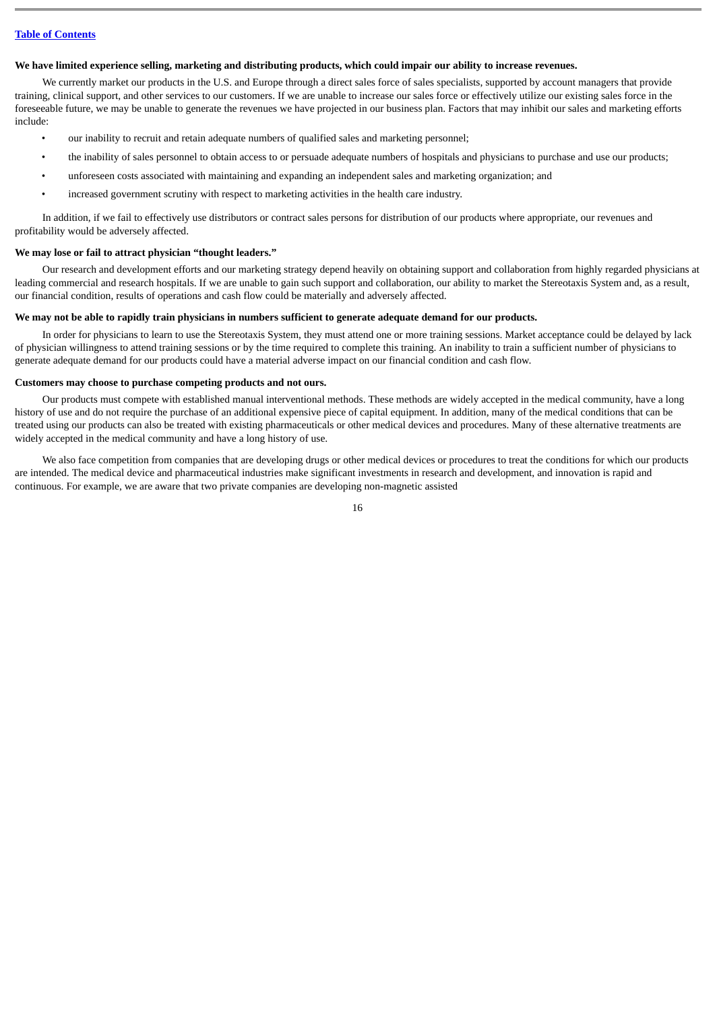#### **We have limited experience selling, marketing and distributing products, which could impair our ability to increase revenues.**

We currently market our products in the U.S. and Europe through a direct sales force of sales specialists, supported by account managers that provide training, clinical support, and other services to our customers. If we are unable to increase our sales force or effectively utilize our existing sales force in the foreseeable future, we may be unable to generate the revenues we have projected in our business plan. Factors that may inhibit our sales and marketing efforts include:

- our inability to recruit and retain adequate numbers of qualified sales and marketing personnel;
- the inability of sales personnel to obtain access to or persuade adequate numbers of hospitals and physicians to purchase and use our products;
- unforeseen costs associated with maintaining and expanding an independent sales and marketing organization; and
- increased government scrutiny with respect to marketing activities in the health care industry.

In addition, if we fail to effectively use distributors or contract sales persons for distribution of our products where appropriate, our revenues and profitability would be adversely affected.

#### **We may lose or fail to attract physician "thought leaders."**

Our research and development efforts and our marketing strategy depend heavily on obtaining support and collaboration from highly regarded physicians at leading commercial and research hospitals. If we are unable to gain such support and collaboration, our ability to market the Stereotaxis System and, as a result, our financial condition, results of operations and cash flow could be materially and adversely affected.

#### **We may not be able to rapidly train physicians in numbers sufficient to generate adequate demand for our products.**

In order for physicians to learn to use the Stereotaxis System, they must attend one or more training sessions. Market acceptance could be delayed by lack of physician willingness to attend training sessions or by the time required to complete this training. An inability to train a sufficient number of physicians to generate adequate demand for our products could have a material adverse impact on our financial condition and cash flow.

#### **Customers may choose to purchase competing products and not ours.**

Our products must compete with established manual interventional methods. These methods are widely accepted in the medical community, have a long history of use and do not require the purchase of an additional expensive piece of capital equipment. In addition, many of the medical conditions that can be treated using our products can also be treated with existing pharmaceuticals or other medical devices and procedures. Many of these alternative treatments are widely accepted in the medical community and have a long history of use.

We also face competition from companies that are developing drugs or other medical devices or procedures to treat the conditions for which our products are intended. The medical device and pharmaceutical industries make significant investments in research and development, and innovation is rapid and continuous. For example, we are aware that two private companies are developing non-magnetic assisted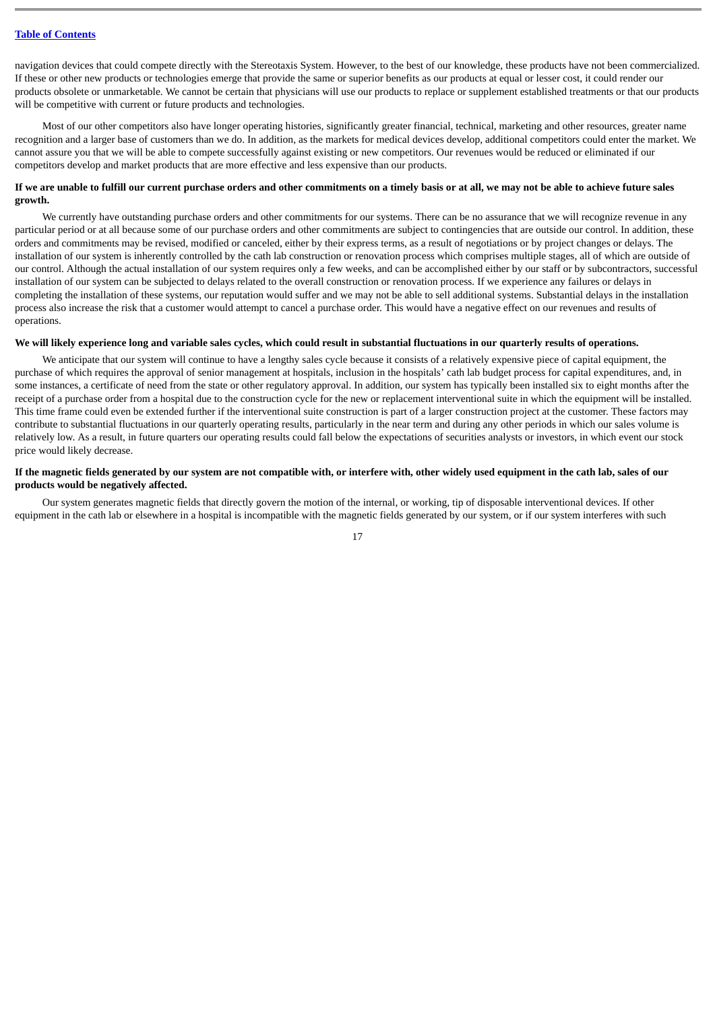navigation devices that could compete directly with the Stereotaxis System. However, to the best of our knowledge, these products have not been commercialized. If these or other new products or technologies emerge that provide the same or superior benefits as our products at equal or lesser cost, it could render our products obsolete or unmarketable. We cannot be certain that physicians will use our products to replace or supplement established treatments or that our products will be competitive with current or future products and technologies.

Most of our other competitors also have longer operating histories, significantly greater financial, technical, marketing and other resources, greater name recognition and a larger base of customers than we do. In addition, as the markets for medical devices develop, additional competitors could enter the market. We cannot assure you that we will be able to compete successfully against existing or new competitors. Our revenues would be reduced or eliminated if our competitors develop and market products that are more effective and less expensive than our products.

#### **If we are unable to fulfill our current purchase orders and other commitments on a timely basis or at all, we may not be able to achieve future sales growth.**

We currently have outstanding purchase orders and other commitments for our systems. There can be no assurance that we will recognize revenue in any particular period or at all because some of our purchase orders and other commitments are subject to contingencies that are outside our control. In addition, these orders and commitments may be revised, modified or canceled, either by their express terms, as a result of negotiations or by project changes or delays. The installation of our system is inherently controlled by the cath lab construction or renovation process which comprises multiple stages, all of which are outside of our control. Although the actual installation of our system requires only a few weeks, and can be accomplished either by our staff or by subcontractors, successful installation of our system can be subjected to delays related to the overall construction or renovation process. If we experience any failures or delays in completing the installation of these systems, our reputation would suffer and we may not be able to sell additional systems. Substantial delays in the installation process also increase the risk that a customer would attempt to cancel a purchase order. This would have a negative effect on our revenues and results of operations.

#### **We will likely experience long and variable sales cycles, which could result in substantial fluctuations in our quarterly results of operations.**

We anticipate that our system will continue to have a lengthy sales cycle because it consists of a relatively expensive piece of capital equipment, the purchase of which requires the approval of senior management at hospitals, inclusion in the hospitals' cath lab budget process for capital expenditures, and, in some instances, a certificate of need from the state or other regulatory approval. In addition, our system has typically been installed six to eight months after the receipt of a purchase order from a hospital due to the construction cycle for the new or replacement interventional suite in which the equipment will be installed. This time frame could even be extended further if the interventional suite construction is part of a larger construction project at the customer. These factors may contribute to substantial fluctuations in our quarterly operating results, particularly in the near term and during any other periods in which our sales volume is relatively low. As a result, in future quarters our operating results could fall below the expectations of securities analysts or investors, in which event our stock price would likely decrease.

## **If the magnetic fields generated by our system are not compatible with, or interfere with, other widely used equipment in the cath lab, sales of our products would be negatively affected.**

Our system generates magnetic fields that directly govern the motion of the internal, or working, tip of disposable interventional devices. If other equipment in the cath lab or elsewhere in a hospital is incompatible with the magnetic fields generated by our system, or if our system interferes with such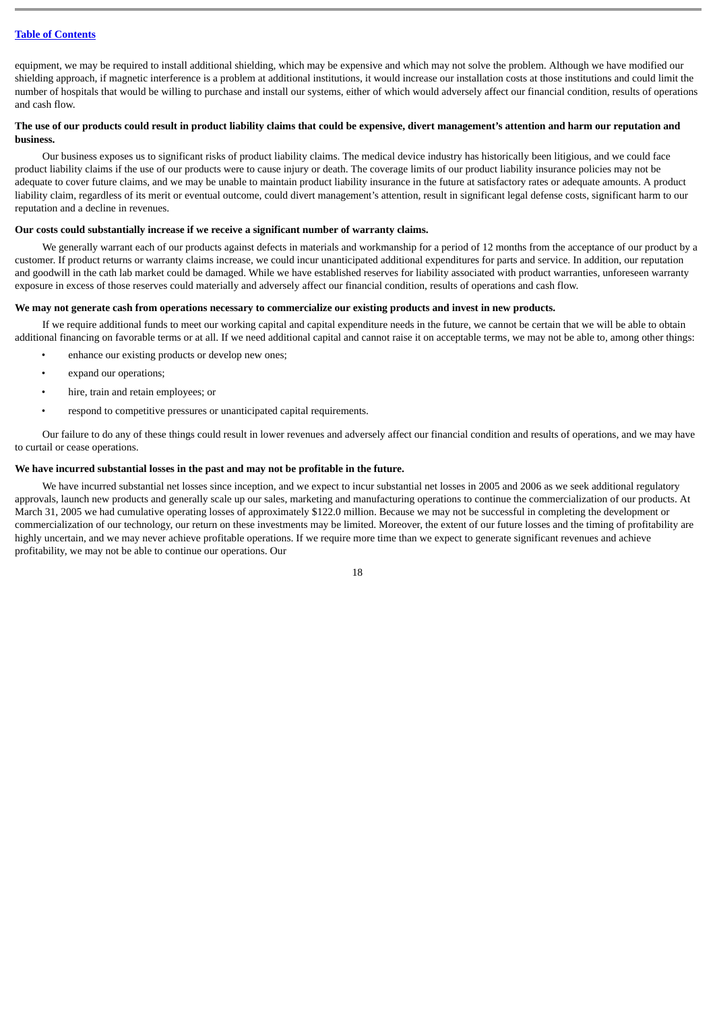equipment, we may be required to install additional shielding, which may be expensive and which may not solve the problem. Although we have modified our shielding approach, if magnetic interference is a problem at additional institutions, it would increase our installation costs at those institutions and could limit the number of hospitals that would be willing to purchase and install our systems, either of which would adversely affect our financial condition, results of operations and cash flow.

## **The use of our products could result in product liability claims that could be expensive, divert management's attention and harm our reputation and business.**

Our business exposes us to significant risks of product liability claims. The medical device industry has historically been litigious, and we could face product liability claims if the use of our products were to cause injury or death. The coverage limits of our product liability insurance policies may not be adequate to cover future claims, and we may be unable to maintain product liability insurance in the future at satisfactory rates or adequate amounts. A product liability claim, regardless of its merit or eventual outcome, could divert management's attention, result in significant legal defense costs, significant harm to our reputation and a decline in revenues.

#### **Our costs could substantially increase if we receive a significant number of warranty claims.**

We generally warrant each of our products against defects in materials and workmanship for a period of 12 months from the acceptance of our product by a customer. If product returns or warranty claims increase, we could incur unanticipated additional expenditures for parts and service. In addition, our reputation and goodwill in the cath lab market could be damaged. While we have established reserves for liability associated with product warranties, unforeseen warranty exposure in excess of those reserves could materially and adversely affect our financial condition, results of operations and cash flow.

## **We may not generate cash from operations necessary to commercialize our existing products and invest in new products.**

If we require additional funds to meet our working capital and capital expenditure needs in the future, we cannot be certain that we will be able to obtain additional financing on favorable terms or at all. If we need additional capital and cannot raise it on acceptable terms, we may not be able to, among other things:

- enhance our existing products or develop new ones:
	- expand our operations;
- hire, train and retain employees; or
- respond to competitive pressures or unanticipated capital requirements.

Our failure to do any of these things could result in lower revenues and adversely affect our financial condition and results of operations, and we may have to curtail or cease operations.

## **We have incurred substantial losses in the past and may not be profitable in the future.**

We have incurred substantial net losses since inception, and we expect to incur substantial net losses in 2005 and 2006 as we seek additional regulatory approvals, launch new products and generally scale up our sales, marketing and manufacturing operations to continue the commercialization of our products. At March 31, 2005 we had cumulative operating losses of approximately \$122.0 million. Because we may not be successful in completing the development or commercialization of our technology, our return on these investments may be limited. Moreover, the extent of our future losses and the timing of profitability are highly uncertain, and we may never achieve profitable operations. If we require more time than we expect to generate significant revenues and achieve profitability, we may not be able to continue our operations. Our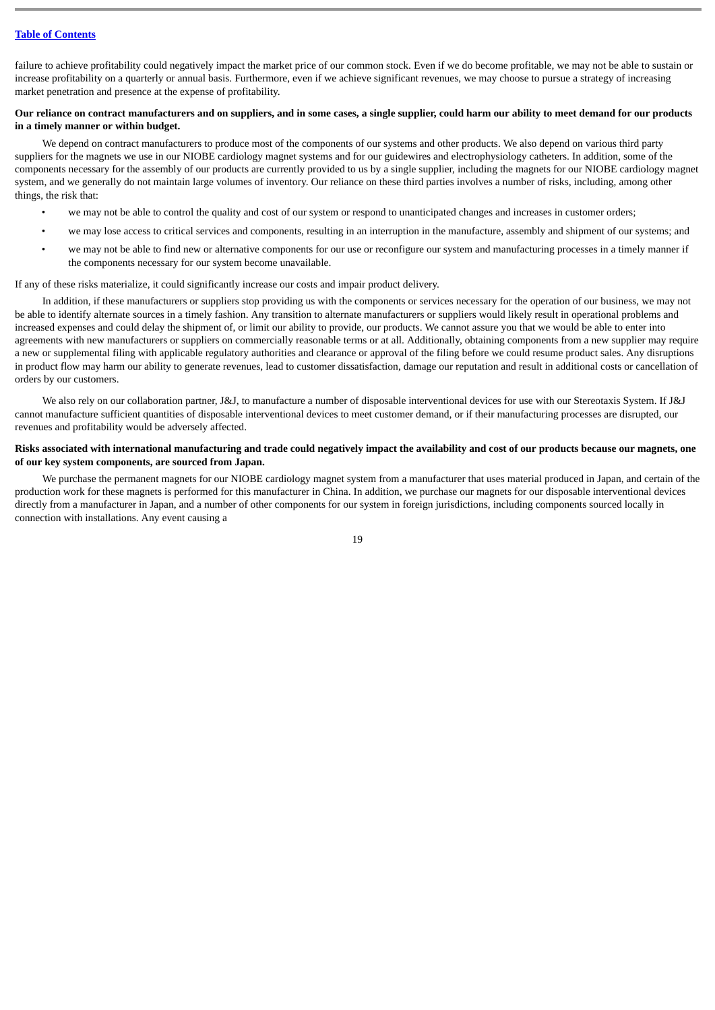failure to achieve profitability could negatively impact the market price of our common stock. Even if we do become profitable, we may not be able to sustain or increase profitability on a quarterly or annual basis. Furthermore, even if we achieve significant revenues, we may choose to pursue a strategy of increasing market penetration and presence at the expense of profitability.

## **Our reliance on contract manufacturers and on suppliers, and in some cases, a single supplier, could harm our ability to meet demand for our products in a timely manner or within budget.**

We depend on contract manufacturers to produce most of the components of our systems and other products. We also depend on various third party suppliers for the magnets we use in our NIOBE cardiology magnet systems and for our guidewires and electrophysiology catheters. In addition, some of the components necessary for the assembly of our products are currently provided to us by a single supplier, including the magnets for our NIOBE cardiology magnet system, and we generally do not maintain large volumes of inventory. Our reliance on these third parties involves a number of risks, including, among other things, the risk that:

- we may not be able to control the quality and cost of our system or respond to unanticipated changes and increases in customer orders;
- we may lose access to critical services and components, resulting in an interruption in the manufacture, assembly and shipment of our systems; and
- we may not be able to find new or alternative components for our use or reconfigure our system and manufacturing processes in a timely manner if the components necessary for our system become unavailable.

If any of these risks materialize, it could significantly increase our costs and impair product delivery.

In addition, if these manufacturers or suppliers stop providing us with the components or services necessary for the operation of our business, we may not be able to identify alternate sources in a timely fashion. Any transition to alternate manufacturers or suppliers would likely result in operational problems and increased expenses and could delay the shipment of, or limit our ability to provide, our products. We cannot assure you that we would be able to enter into agreements with new manufacturers or suppliers on commercially reasonable terms or at all. Additionally, obtaining components from a new supplier may require a new or supplemental filing with applicable regulatory authorities and clearance or approval of the filing before we could resume product sales. Any disruptions in product flow may harm our ability to generate revenues, lead to customer dissatisfaction, damage our reputation and result in additional costs or cancellation of orders by our customers.

We also rely on our collaboration partner, J&J, to manufacture a number of disposable interventional devices for use with our Stereotaxis System. If J&J cannot manufacture sufficient quantities of disposable interventional devices to meet customer demand, or if their manufacturing processes are disrupted, our revenues and profitability would be adversely affected.

## **Risks associated with international manufacturing and trade could negatively impact the availability and cost of our products because our magnets, one of our key system components, are sourced from Japan.**

We purchase the permanent magnets for our NIOBE cardiology magnet system from a manufacturer that uses material produced in Japan, and certain of the production work for these magnets is performed for this manufacturer in China. In addition, we purchase our magnets for our disposable interventional devices directly from a manufacturer in Japan, and a number of other components for our system in foreign jurisdictions, including components sourced locally in connection with installations. Any event causing a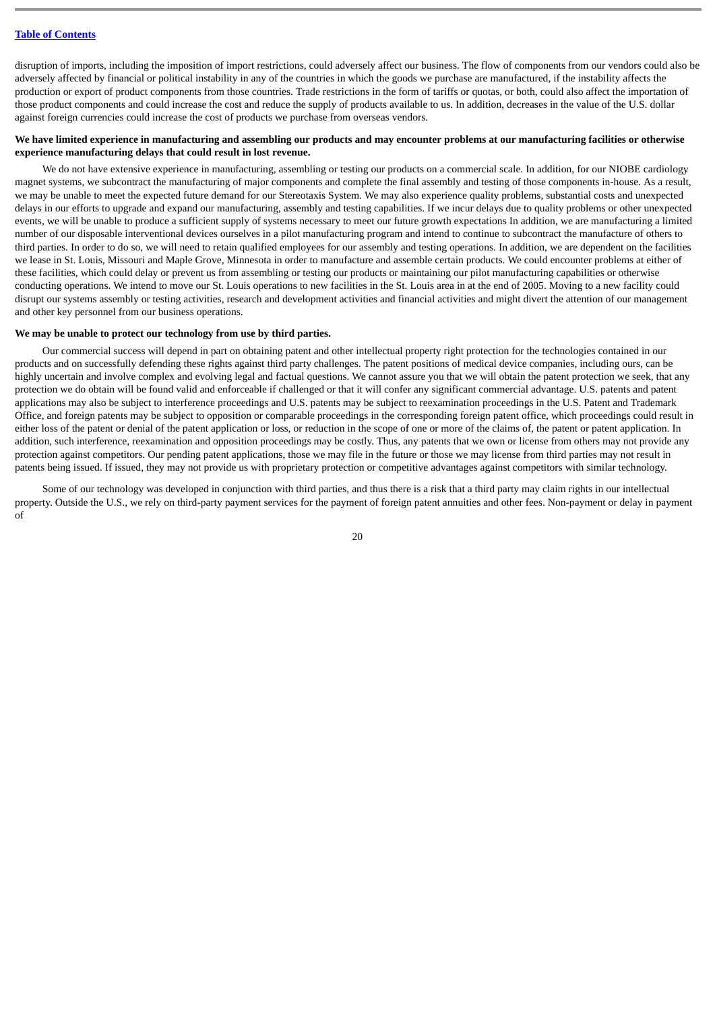disruption of imports, including the imposition of import restrictions, could adversely affect our business. The flow of components from our vendors could also be adversely affected by financial or political instability in any of the countries in which the goods we purchase are manufactured, if the instability affects the production or export of product components from those countries. Trade restrictions in the form of tariffs or quotas, or both, could also affect the importation of those product components and could increase the cost and reduce the supply of products available to us. In addition, decreases in the value of the U.S. dollar against foreign currencies could increase the cost of products we purchase from overseas vendors.

## **We have limited experience in manufacturing and assembling our products and may encounter problems at our manufacturing facilities or otherwise experience manufacturing delays that could result in lost revenue.**

We do not have extensive experience in manufacturing, assembling or testing our products on a commercial scale. In addition, for our NIOBE cardiology magnet systems, we subcontract the manufacturing of major components and complete the final assembly and testing of those components in-house. As a result, we may be unable to meet the expected future demand for our Stereotaxis System. We may also experience quality problems, substantial costs and unexpected delays in our efforts to upgrade and expand our manufacturing, assembly and testing capabilities. If we incur delays due to quality problems or other unexpected events, we will be unable to produce a sufficient supply of systems necessary to meet our future growth expectations In addition, we are manufacturing a limited number of our disposable interventional devices ourselves in a pilot manufacturing program and intend to continue to subcontract the manufacture of others to third parties. In order to do so, we will need to retain qualified employees for our assembly and testing operations. In addition, we are dependent on the facilities we lease in St. Louis, Missouri and Maple Grove, Minnesota in order to manufacture and assemble certain products. We could encounter problems at either of these facilities, which could delay or prevent us from assembling or testing our products or maintaining our pilot manufacturing capabilities or otherwise conducting operations. We intend to move our St. Louis operations to new facilities in the St. Louis area in at the end of 2005. Moving to a new facility could disrupt our systems assembly or testing activities, research and development activities and financial activities and might divert the attention of our management and other key personnel from our business operations.

## **We may be unable to protect our technology from use by third parties.**

Our commercial success will depend in part on obtaining patent and other intellectual property right protection for the technologies contained in our products and on successfully defending these rights against third party challenges. The patent positions of medical device companies, including ours, can be highly uncertain and involve complex and evolving legal and factual questions. We cannot assure you that we will obtain the patent protection we seek, that any protection we do obtain will be found valid and enforceable if challenged or that it will confer any significant commercial advantage. U.S. patents and patent applications may also be subject to interference proceedings and U.S. patents may be subject to reexamination proceedings in the U.S. Patent and Trademark Office, and foreign patents may be subject to opposition or comparable proceedings in the corresponding foreign patent office, which proceedings could result in either loss of the patent or denial of the patent application or loss, or reduction in the scope of one or more of the claims of, the patent or patent application. In addition, such interference, reexamination and opposition proceedings may be costly. Thus, any patents that we own or license from others may not provide any protection against competitors. Our pending patent applications, those we may file in the future or those we may license from third parties may not result in patents being issued. If issued, they may not provide us with proprietary protection or competitive advantages against competitors with similar technology.

Some of our technology was developed in conjunction with third parties, and thus there is a risk that a third party may claim rights in our intellectual property. Outside the U.S., we rely on third-party payment services for the payment of foreign patent annuities and other fees. Non-payment or delay in payment of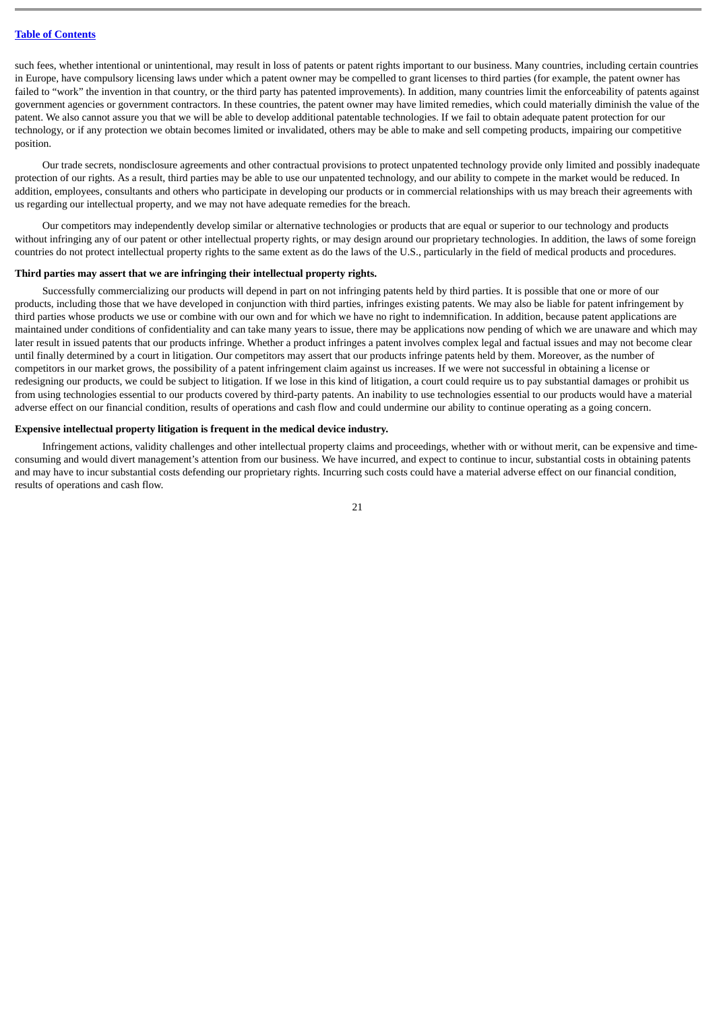such fees, whether intentional or unintentional, may result in loss of patents or patent rights important to our business. Many countries, including certain countries in Europe, have compulsory licensing laws under which a patent owner may be compelled to grant licenses to third parties (for example, the patent owner has failed to "work" the invention in that country, or the third party has patented improvements). In addition, many countries limit the enforceability of patents against government agencies or government contractors. In these countries, the patent owner may have limited remedies, which could materially diminish the value of the patent. We also cannot assure you that we will be able to develop additional patentable technologies. If we fail to obtain adequate patent protection for our technology, or if any protection we obtain becomes limited or invalidated, others may be able to make and sell competing products, impairing our competitive position.

Our trade secrets, nondisclosure agreements and other contractual provisions to protect unpatented technology provide only limited and possibly inadequate protection of our rights. As a result, third parties may be able to use our unpatented technology, and our ability to compete in the market would be reduced. In addition, employees, consultants and others who participate in developing our products or in commercial relationships with us may breach their agreements with us regarding our intellectual property, and we may not have adequate remedies for the breach.

Our competitors may independently develop similar or alternative technologies or products that are equal or superior to our technology and products without infringing any of our patent or other intellectual property rights, or may design around our proprietary technologies. In addition, the laws of some foreign countries do not protect intellectual property rights to the same extent as do the laws of the U.S., particularly in the field of medical products and procedures.

#### **Third parties may assert that we are infringing their intellectual property rights.**

Successfully commercializing our products will depend in part on not infringing patents held by third parties. It is possible that one or more of our products, including those that we have developed in conjunction with third parties, infringes existing patents. We may also be liable for patent infringement by third parties whose products we use or combine with our own and for which we have no right to indemnification. In addition, because patent applications are maintained under conditions of confidentiality and can take many years to issue, there may be applications now pending of which we are unaware and which may later result in issued patents that our products infringe. Whether a product infringes a patent involves complex legal and factual issues and may not become clear until finally determined by a court in litigation. Our competitors may assert that our products infringe patents held by them. Moreover, as the number of competitors in our market grows, the possibility of a patent infringement claim against us increases. If we were not successful in obtaining a license or redesigning our products, we could be subject to litigation. If we lose in this kind of litigation, a court could require us to pay substantial damages or prohibit us from using technologies essential to our products covered by third-party patents. An inability to use technologies essential to our products would have a material adverse effect on our financial condition, results of operations and cash flow and could undermine our ability to continue operating as a going concern.

#### **Expensive intellectual property litigation is frequent in the medical device industry.**

Infringement actions, validity challenges and other intellectual property claims and proceedings, whether with or without merit, can be expensive and timeconsuming and would divert management's attention from our business. We have incurred, and expect to continue to incur, substantial costs in obtaining patents and may have to incur substantial costs defending our proprietary rights. Incurring such costs could have a material adverse effect on our financial condition, results of operations and cash flow.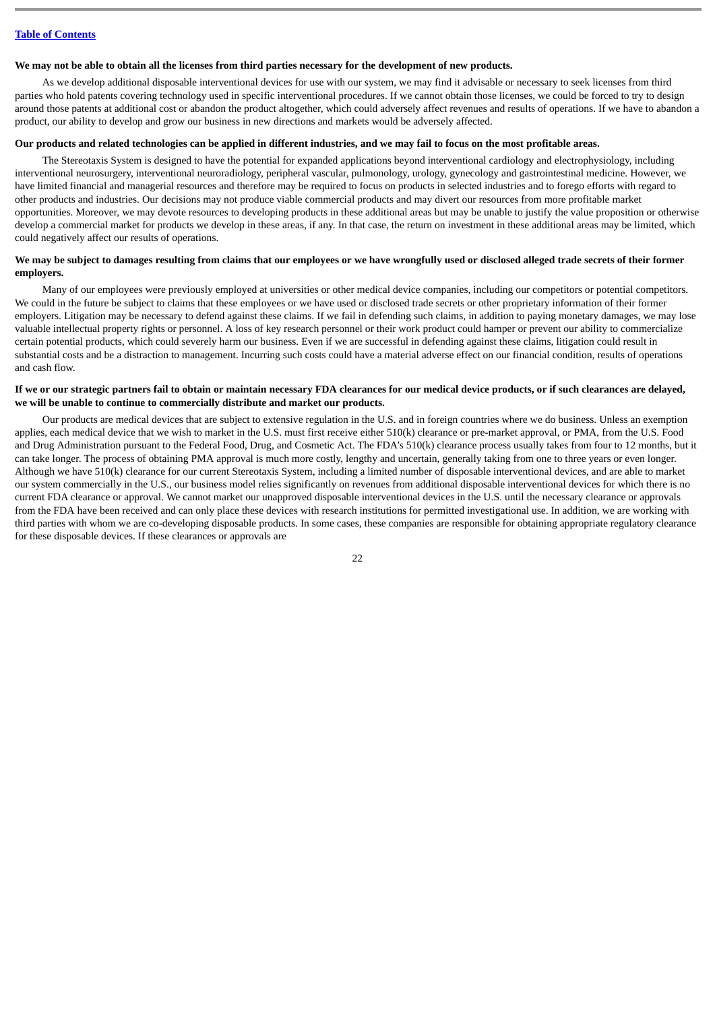#### **We may not be able to obtain all the licenses from third parties necessary for the development of new products.**

As we develop additional disposable interventional devices for use with our system, we may find it advisable or necessary to seek licenses from third parties who hold patents covering technology used in specific interventional procedures. If we cannot obtain those licenses, we could be forced to try to design around those patents at additional cost or abandon the product altogether, which could adversely affect revenues and results of operations. If we have to abandon a product, our ability to develop and grow our business in new directions and markets would be adversely affected.

#### **Our products and related technologies can be applied in different industries, and we may fail to focus on the most profitable areas.**

The Stereotaxis System is designed to have the potential for expanded applications beyond interventional cardiology and electrophysiology, including interventional neurosurgery, interventional neuroradiology, peripheral vascular, pulmonology, urology, gynecology and gastrointestinal medicine. However, we have limited financial and managerial resources and therefore may be required to focus on products in selected industries and to forego efforts with regard to other products and industries. Our decisions may not produce viable commercial products and may divert our resources from more profitable market opportunities. Moreover, we may devote resources to developing products in these additional areas but may be unable to justify the value proposition or otherwise develop a commercial market for products we develop in these areas, if any. In that case, the return on investment in these additional areas may be limited, which could negatively affect our results of operations.

## **We may be subject to damages resulting from claims that our employees or we have wrongfully used or disclosed alleged trade secrets of their former employers.**

Many of our employees were previously employed at universities or other medical device companies, including our competitors or potential competitors. We could in the future be subject to claims that these employees or we have used or disclosed trade secrets or other proprietary information of their former employers. Litigation may be necessary to defend against these claims. If we fail in defending such claims, in addition to paying monetary damages, we may lose valuable intellectual property rights or personnel. A loss of key research personnel or their work product could hamper or prevent our ability to commercialize certain potential products, which could severely harm our business. Even if we are successful in defending against these claims, litigation could result in substantial costs and be a distraction to management. Incurring such costs could have a material adverse effect on our financial condition, results of operations and cash flow.

## **If we or our strategic partners fail to obtain or maintain necessary FDA clearances for our medical device products, or if such clearances are delayed, we will be unable to continue to commercially distribute and market our products.**

Our products are medical devices that are subject to extensive regulation in the U.S. and in foreign countries where we do business. Unless an exemption applies, each medical device that we wish to market in the U.S. must first receive either 510(k) clearance or pre-market approval, or PMA, from the U.S. Food and Drug Administration pursuant to the Federal Food, Drug, and Cosmetic Act. The FDA's 510(k) clearance process usually takes from four to 12 months, but it can take longer. The process of obtaining PMA approval is much more costly, lengthy and uncertain, generally taking from one to three years or even longer. Although we have 510(k) clearance for our current Stereotaxis System, including a limited number of disposable interventional devices, and are able to market our system commercially in the U.S., our business model relies significantly on revenues from additional disposable interventional devices for which there is no current FDA clearance or approval. We cannot market our unapproved disposable interventional devices in the U.S. until the necessary clearance or approvals from the FDA have been received and can only place these devices with research institutions for permitted investigational use. In addition, we are working with third parties with whom we are co-developing disposable products. In some cases, these companies are responsible for obtaining appropriate regulatory clearance for these disposable devices. If these clearances or approvals are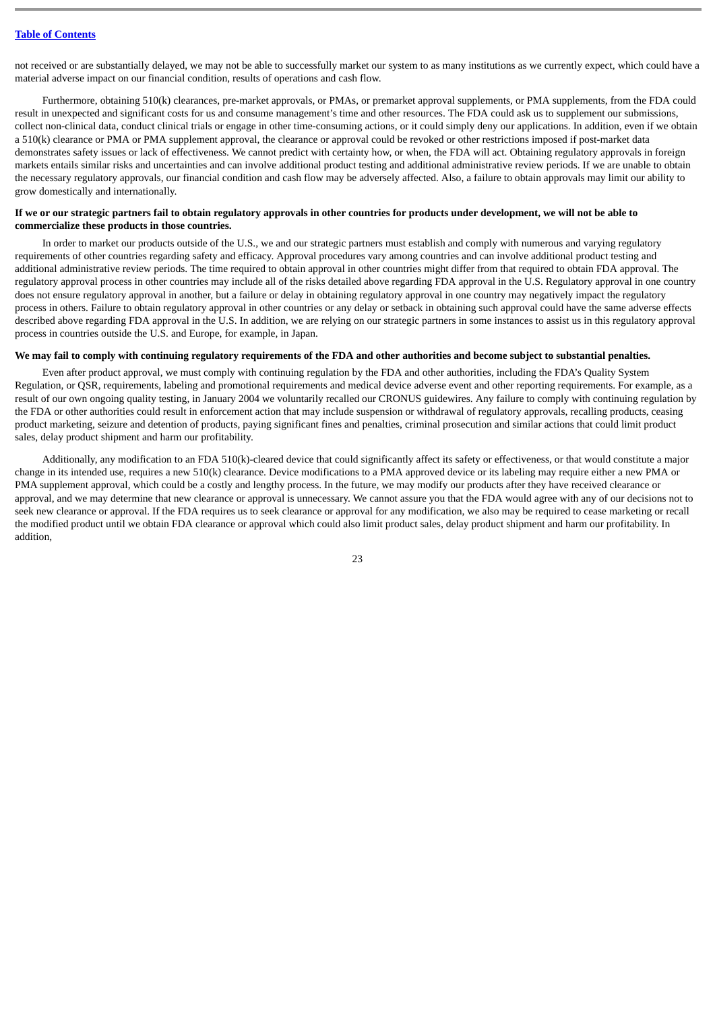not received or are substantially delayed, we may not be able to successfully market our system to as many institutions as we currently expect, which could have a material adverse impact on our financial condition, results of operations and cash flow.

Furthermore, obtaining 510(k) clearances, pre-market approvals, or PMAs, or premarket approval supplements, or PMA supplements, from the FDA could result in unexpected and significant costs for us and consume management's time and other resources. The FDA could ask us to supplement our submissions, collect non-clinical data, conduct clinical trials or engage in other time-consuming actions, or it could simply deny our applications. In addition, even if we obtain a 510(k) clearance or PMA or PMA supplement approval, the clearance or approval could be revoked or other restrictions imposed if post-market data demonstrates safety issues or lack of effectiveness. We cannot predict with certainty how, or when, the FDA will act. Obtaining regulatory approvals in foreign markets entails similar risks and uncertainties and can involve additional product testing and additional administrative review periods. If we are unable to obtain the necessary regulatory approvals, our financial condition and cash flow may be adversely affected. Also, a failure to obtain approvals may limit our ability to grow domestically and internationally.

#### **If we or our strategic partners fail to obtain regulatory approvals in other countries for products under development, we will not be able to commercialize these products in those countries.**

In order to market our products outside of the U.S., we and our strategic partners must establish and comply with numerous and varying regulatory requirements of other countries regarding safety and efficacy. Approval procedures vary among countries and can involve additional product testing and additional administrative review periods. The time required to obtain approval in other countries might differ from that required to obtain FDA approval. The regulatory approval process in other countries may include all of the risks detailed above regarding FDA approval in the U.S. Regulatory approval in one country does not ensure regulatory approval in another, but a failure or delay in obtaining regulatory approval in one country may negatively impact the regulatory process in others. Failure to obtain regulatory approval in other countries or any delay or setback in obtaining such approval could have the same adverse effects described above regarding FDA approval in the U.S. In addition, we are relying on our strategic partners in some instances to assist us in this regulatory approval process in countries outside the U.S. and Europe, for example, in Japan.

#### **We may fail to comply with continuing regulatory requirements of the FDA and other authorities and become subject to substantial penalties.**

Even after product approval, we must comply with continuing regulation by the FDA and other authorities, including the FDA's Quality System Regulation, or QSR, requirements, labeling and promotional requirements and medical device adverse event and other reporting requirements. For example, as a result of our own ongoing quality testing, in January 2004 we voluntarily recalled our CRONUS guidewires. Any failure to comply with continuing regulation by the FDA or other authorities could result in enforcement action that may include suspension or withdrawal of regulatory approvals, recalling products, ceasing product marketing, seizure and detention of products, paying significant fines and penalties, criminal prosecution and similar actions that could limit product sales, delay product shipment and harm our profitability.

Additionally, any modification to an FDA 510(k)-cleared device that could significantly affect its safety or effectiveness, or that would constitute a major change in its intended use, requires a new 510(k) clearance. Device modifications to a PMA approved device or its labeling may require either a new PMA or PMA supplement approval, which could be a costly and lengthy process. In the future, we may modify our products after they have received clearance or approval, and we may determine that new clearance or approval is unnecessary. We cannot assure you that the FDA would agree with any of our decisions not to seek new clearance or approval. If the FDA requires us to seek clearance or approval for any modification, we also may be required to cease marketing or recall the modified product until we obtain FDA clearance or approval which could also limit product sales, delay product shipment and harm our profitability. In addition,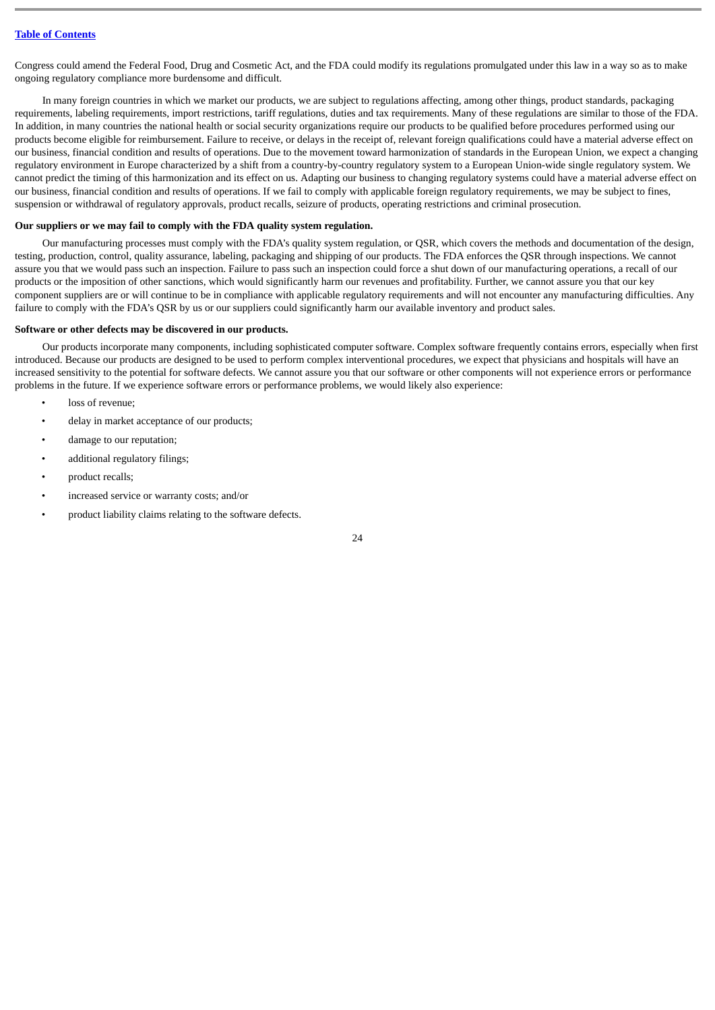Congress could amend the Federal Food, Drug and Cosmetic Act, and the FDA could modify its regulations promulgated under this law in a way so as to make ongoing regulatory compliance more burdensome and difficult.

In many foreign countries in which we market our products, we are subject to regulations affecting, among other things, product standards, packaging requirements, labeling requirements, import restrictions, tariff regulations, duties and tax requirements. Many of these regulations are similar to those of the FDA. In addition, in many countries the national health or social security organizations require our products to be qualified before procedures performed using our products become eligible for reimbursement. Failure to receive, or delays in the receipt of, relevant foreign qualifications could have a material adverse effect on our business, financial condition and results of operations. Due to the movement toward harmonization of standards in the European Union, we expect a changing regulatory environment in Europe characterized by a shift from a country-by-country regulatory system to a European Union-wide single regulatory system. We cannot predict the timing of this harmonization and its effect on us. Adapting our business to changing regulatory systems could have a material adverse effect on our business, financial condition and results of operations. If we fail to comply with applicable foreign regulatory requirements, we may be subject to fines, suspension or withdrawal of regulatory approvals, product recalls, seizure of products, operating restrictions and criminal prosecution.

#### **Our suppliers or we may fail to comply with the FDA quality system regulation.**

Our manufacturing processes must comply with the FDA's quality system regulation, or QSR, which covers the methods and documentation of the design, testing, production, control, quality assurance, labeling, packaging and shipping of our products. The FDA enforces the QSR through inspections. We cannot assure you that we would pass such an inspection. Failure to pass such an inspection could force a shut down of our manufacturing operations, a recall of our products or the imposition of other sanctions, which would significantly harm our revenues and profitability. Further, we cannot assure you that our key component suppliers are or will continue to be in compliance with applicable regulatory requirements and will not encounter any manufacturing difficulties. Any failure to comply with the FDA's QSR by us or our suppliers could significantly harm our available inventory and product sales.

#### **Software or other defects may be discovered in our products.**

Our products incorporate many components, including sophisticated computer software. Complex software frequently contains errors, especially when first introduced. Because our products are designed to be used to perform complex interventional procedures, we expect that physicians and hospitals will have an increased sensitivity to the potential for software defects. We cannot assure you that our software or other components will not experience errors or performance problems in the future. If we experience software errors or performance problems, we would likely also experience:

- loss of revenue;
- delay in market acceptance of our products:
- damage to our reputation;
- additional regulatory filings;
- product recalls;
- increased service or warranty costs; and/or
- product liability claims relating to the software defects.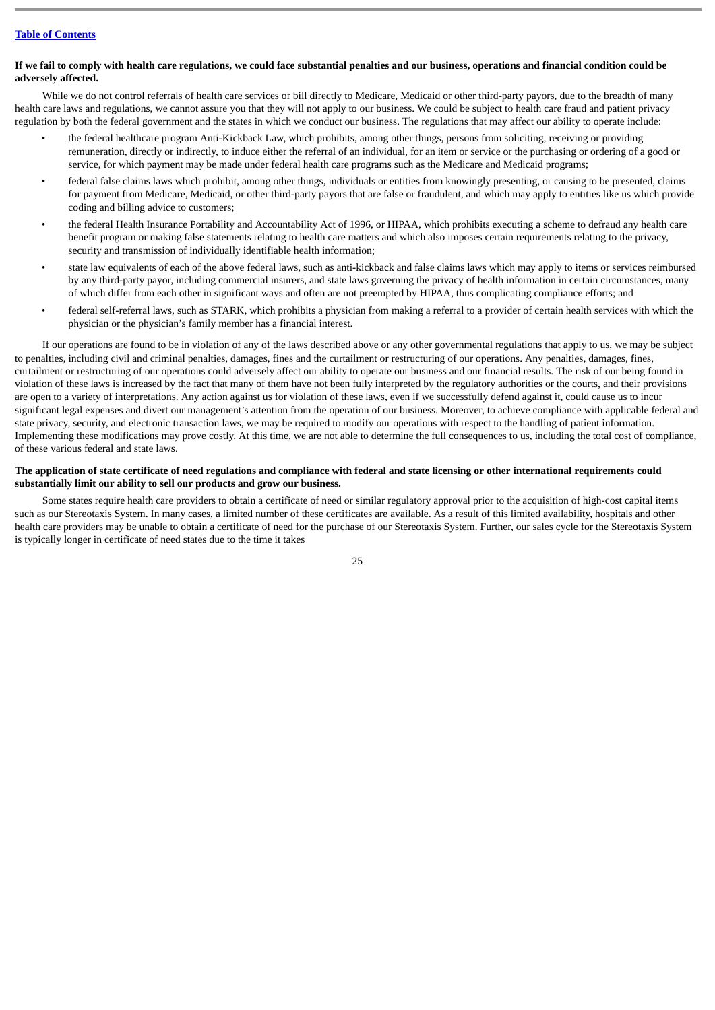## **If we fail to comply with health care regulations, we could face substantial penalties and our business, operations and financial condition could be adversely affected.**

While we do not control referrals of health care services or bill directly to Medicare, Medicaid or other third-party payors, due to the breadth of many health care laws and regulations, we cannot assure you that they will not apply to our business. We could be subject to health care fraud and patient privacy regulation by both the federal government and the states in which we conduct our business. The regulations that may affect our ability to operate include:

- the federal healthcare program Anti-Kickback Law, which prohibits, among other things, persons from soliciting, receiving or providing remuneration, directly or indirectly, to induce either the referral of an individual, for an item or service or the purchasing or ordering of a good or service, for which payment may be made under federal health care programs such as the Medicare and Medicaid programs;
- federal false claims laws which prohibit, among other things, individuals or entities from knowingly presenting, or causing to be presented, claims for payment from Medicare, Medicaid, or other third-party payors that are false or fraudulent, and which may apply to entities like us which provide coding and billing advice to customers;
- the federal Health Insurance Portability and Accountability Act of 1996, or HIPAA, which prohibits executing a scheme to defraud any health care benefit program or making false statements relating to health care matters and which also imposes certain requirements relating to the privacy, security and transmission of individually identifiable health information;
- state law equivalents of each of the above federal laws, such as anti-kickback and false claims laws which may apply to items or services reimbursed by any third-party payor, including commercial insurers, and state laws governing the privacy of health information in certain circumstances, many of which differ from each other in significant ways and often are not preempted by HIPAA, thus complicating compliance efforts; and
- federal self-referral laws, such as STARK, which prohibits a physician from making a referral to a provider of certain health services with which the physician or the physician's family member has a financial interest.

If our operations are found to be in violation of any of the laws described above or any other governmental regulations that apply to us, we may be subject to penalties, including civil and criminal penalties, damages, fines and the curtailment or restructuring of our operations. Any penalties, damages, fines, curtailment or restructuring of our operations could adversely affect our ability to operate our business and our financial results. The risk of our being found in violation of these laws is increased by the fact that many of them have not been fully interpreted by the regulatory authorities or the courts, and their provisions are open to a variety of interpretations. Any action against us for violation of these laws, even if we successfully defend against it, could cause us to incur significant legal expenses and divert our management's attention from the operation of our business. Moreover, to achieve compliance with applicable federal and state privacy, security, and electronic transaction laws, we may be required to modify our operations with respect to the handling of patient information. Implementing these modifications may prove costly. At this time, we are not able to determine the full consequences to us, including the total cost of compliance, of these various federal and state laws.

## **The application of state certificate of need regulations and compliance with federal and state licensing or other international requirements could substantially limit our ability to sell our products and grow our business.**

Some states require health care providers to obtain a certificate of need or similar regulatory approval prior to the acquisition of high-cost capital items such as our Stereotaxis System. In many cases, a limited number of these certificates are available. As a result of this limited availability, hospitals and other health care providers may be unable to obtain a certificate of need for the purchase of our Stereotaxis System. Further, our sales cycle for the Stereotaxis System is typically longer in certificate of need states due to the time it takes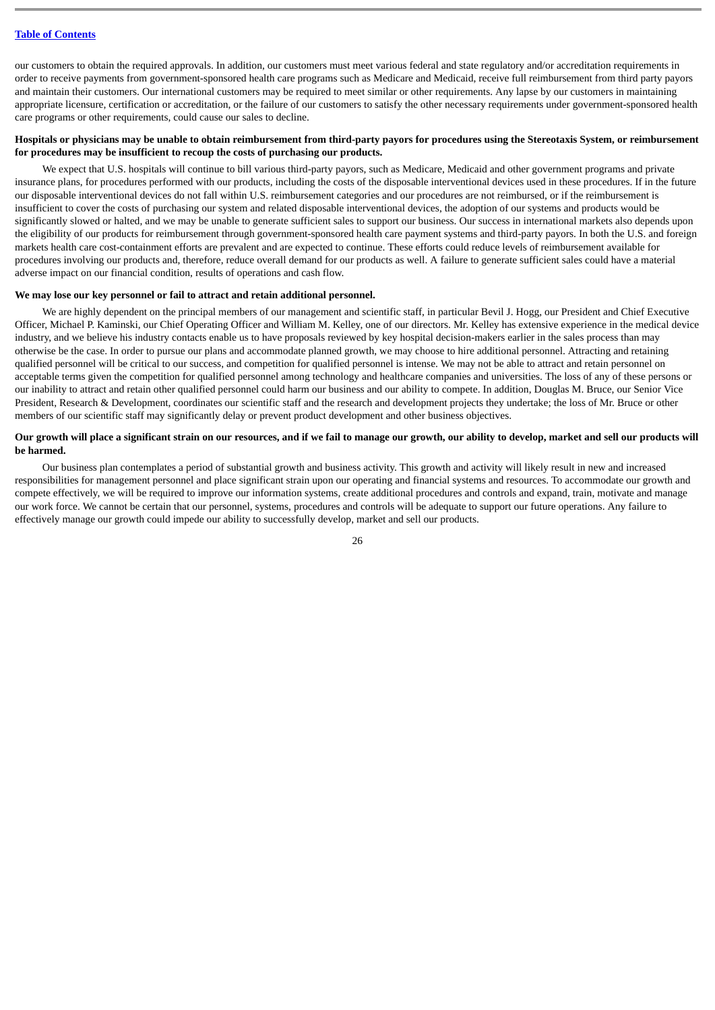our customers to obtain the required approvals. In addition, our customers must meet various federal and state regulatory and/or accreditation requirements in order to receive payments from government-sponsored health care programs such as Medicare and Medicaid, receive full reimbursement from third party payors and maintain their customers. Our international customers may be required to meet similar or other requirements. Any lapse by our customers in maintaining appropriate licensure, certification or accreditation, or the failure of our customers to satisfy the other necessary requirements under government-sponsored health care programs or other requirements, could cause our sales to decline.

## **Hospitals or physicians may be unable to obtain reimbursement from third-party payors for procedures using the Stereotaxis System, or reimbursement for procedures may be insufficient to recoup the costs of purchasing our products.**

We expect that U.S. hospitals will continue to bill various third-party payors, such as Medicare, Medicaid and other government programs and private insurance plans, for procedures performed with our products, including the costs of the disposable interventional devices used in these procedures. If in the future our disposable interventional devices do not fall within U.S. reimbursement categories and our procedures are not reimbursed, or if the reimbursement is insufficient to cover the costs of purchasing our system and related disposable interventional devices, the adoption of our systems and products would be significantly slowed or halted, and we may be unable to generate sufficient sales to support our business. Our success in international markets also depends upon the eligibility of our products for reimbursement through government-sponsored health care payment systems and third-party payors. In both the U.S. and foreign markets health care cost-containment efforts are prevalent and are expected to continue. These efforts could reduce levels of reimbursement available for procedures involving our products and, therefore, reduce overall demand for our products as well. A failure to generate sufficient sales could have a material adverse impact on our financial condition, results of operations and cash flow.

#### **We may lose our key personnel or fail to attract and retain additional personnel.**

We are highly dependent on the principal members of our management and scientific staff, in particular Bevil J. Hogg, our President and Chief Executive Officer, Michael P. Kaminski, our Chief Operating Officer and William M. Kelley, one of our directors. Mr. Kelley has extensive experience in the medical device industry, and we believe his industry contacts enable us to have proposals reviewed by key hospital decision-makers earlier in the sales process than may otherwise be the case. In order to pursue our plans and accommodate planned growth, we may choose to hire additional personnel. Attracting and retaining qualified personnel will be critical to our success, and competition for qualified personnel is intense. We may not be able to attract and retain personnel on acceptable terms given the competition for qualified personnel among technology and healthcare companies and universities. The loss of any of these persons or our inability to attract and retain other qualified personnel could harm our business and our ability to compete. In addition, Douglas M. Bruce, our Senior Vice President, Research & Development, coordinates our scientific staff and the research and development projects they undertake; the loss of Mr. Bruce or other members of our scientific staff may significantly delay or prevent product development and other business objectives.

#### **Our growth will place a significant strain on our resources, and if we fail to manage our growth, our ability to develop, market and sell our products will be harmed.**

Our business plan contemplates a period of substantial growth and business activity. This growth and activity will likely result in new and increased responsibilities for management personnel and place significant strain upon our operating and financial systems and resources. To accommodate our growth and compete effectively, we will be required to improve our information systems, create additional procedures and controls and expand, train, motivate and manage our work force. We cannot be certain that our personnel, systems, procedures and controls will be adequate to support our future operations. Any failure to effectively manage our growth could impede our ability to successfully develop, market and sell our products.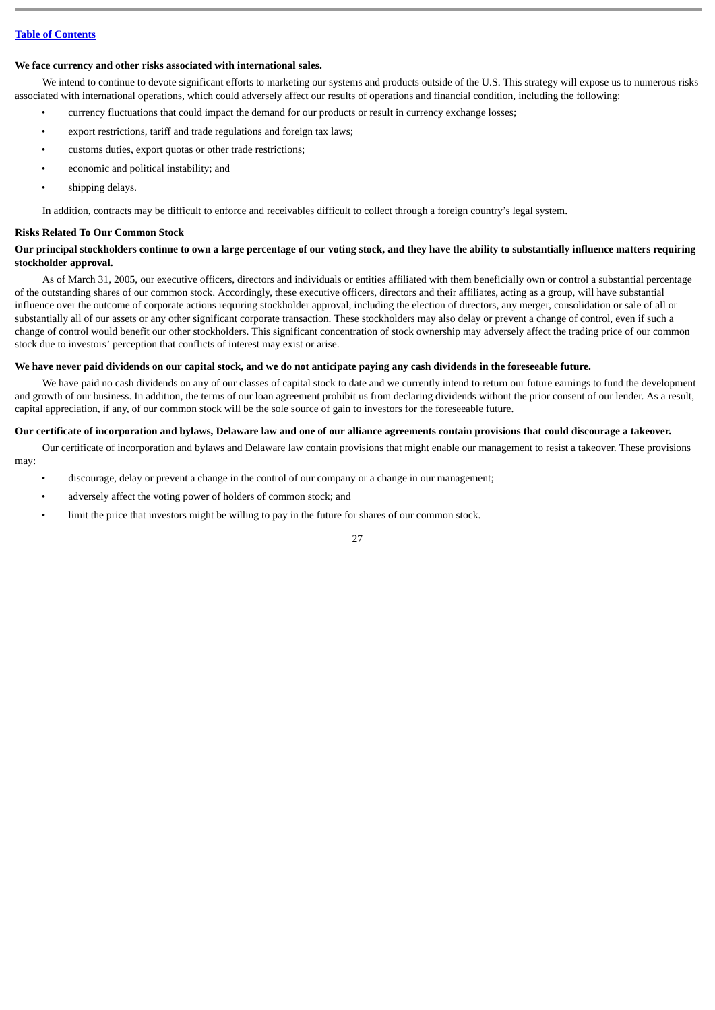#### **We face currency and other risks associated with international sales.**

We intend to continue to devote significant efforts to marketing our systems and products outside of the U.S. This strategy will expose us to numerous risks associated with international operations, which could adversely affect our results of operations and financial condition, including the following:

- currency fluctuations that could impact the demand for our products or result in currency exchange losses;
- export restrictions, tariff and trade regulations and foreign tax laws;
- customs duties, export quotas or other trade restrictions;
- economic and political instability; and
- shipping delays.

In addition, contracts may be difficult to enforce and receivables difficult to collect through a foreign country's legal system.

#### **Risks Related To Our Common Stock**

## **Our principal stockholders continue to own a large percentage of our voting stock, and they have the ability to substantially influence matters requiring stockholder approval.**

As of March 31, 2005, our executive officers, directors and individuals or entities affiliated with them beneficially own or control a substantial percentage of the outstanding shares of our common stock. Accordingly, these executive officers, directors and their affiliates, acting as a group, will have substantial influence over the outcome of corporate actions requiring stockholder approval, including the election of directors, any merger, consolidation or sale of all or substantially all of our assets or any other significant corporate transaction. These stockholders may also delay or prevent a change of control, even if such a change of control would benefit our other stockholders. This significant concentration of stock ownership may adversely affect the trading price of our common stock due to investors' perception that conflicts of interest may exist or arise.

#### **We have never paid dividends on our capital stock, and we do not anticipate paying any cash dividends in the foreseeable future.**

We have paid no cash dividends on any of our classes of capital stock to date and we currently intend to return our future earnings to fund the development and growth of our business. In addition, the terms of our loan agreement prohibit us from declaring dividends without the prior consent of our lender. As a result, capital appreciation, if any, of our common stock will be the sole source of gain to investors for the foreseeable future.

## **Our certificate of incorporation and bylaws, Delaware law and one of our alliance agreements contain provisions that could discourage a takeover.**

Our certificate of incorporation and bylaws and Delaware law contain provisions that might enable our management to resist a takeover. These provisions may:

- discourage, delay or prevent a change in the control of our company or a change in our management;
- adversely affect the voting power of holders of common stock; and
- limit the price that investors might be willing to pay in the future for shares of our common stock.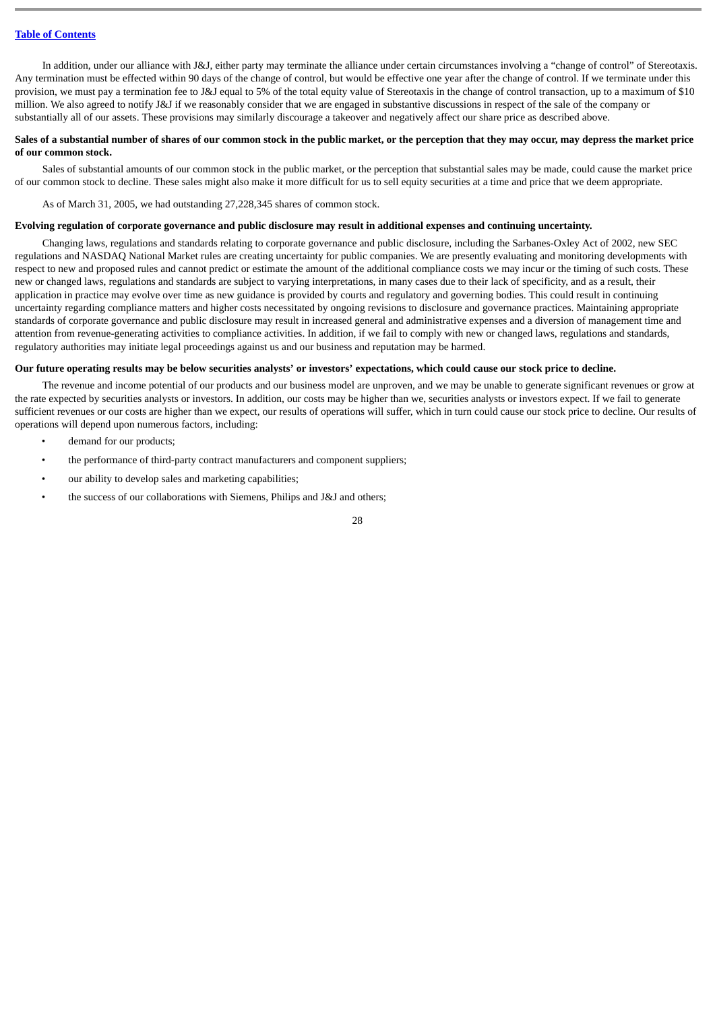In addition, under our alliance with J&J, either party may terminate the alliance under certain circumstances involving a "change of control" of Stereotaxis. Any termination must be effected within 90 days of the change of control, but would be effective one year after the change of control. If we terminate under this provision, we must pay a termination fee to J&J equal to 5% of the total equity value of Stereotaxis in the change of control transaction, up to a maximum of \$10 million. We also agreed to notify J&J if we reasonably consider that we are engaged in substantive discussions in respect of the sale of the company or substantially all of our assets. These provisions may similarly discourage a takeover and negatively affect our share price as described above.

#### **Sales of a substantial number of shares of our common stock in the public market, or the perception that they may occur, may depress the market price of our common stock.**

Sales of substantial amounts of our common stock in the public market, or the perception that substantial sales may be made, could cause the market price of our common stock to decline. These sales might also make it more difficult for us to sell equity securities at a time and price that we deem appropriate.

As of March 31, 2005, we had outstanding 27,228,345 shares of common stock.

#### **Evolving regulation of corporate governance and public disclosure may result in additional expenses and continuing uncertainty.**

Changing laws, regulations and standards relating to corporate governance and public disclosure, including the Sarbanes-Oxley Act of 2002, new SEC regulations and NASDAQ National Market rules are creating uncertainty for public companies. We are presently evaluating and monitoring developments with respect to new and proposed rules and cannot predict or estimate the amount of the additional compliance costs we may incur or the timing of such costs. These new or changed laws, regulations and standards are subject to varying interpretations, in many cases due to their lack of specificity, and as a result, their application in practice may evolve over time as new guidance is provided by courts and regulatory and governing bodies. This could result in continuing uncertainty regarding compliance matters and higher costs necessitated by ongoing revisions to disclosure and governance practices. Maintaining appropriate standards of corporate governance and public disclosure may result in increased general and administrative expenses and a diversion of management time and attention from revenue-generating activities to compliance activities. In addition, if we fail to comply with new or changed laws, regulations and standards, regulatory authorities may initiate legal proceedings against us and our business and reputation may be harmed.

#### **Our future operating results may be below securities analysts' or investors' expectations, which could cause our stock price to decline.**

The revenue and income potential of our products and our business model are unproven, and we may be unable to generate significant revenues or grow at the rate expected by securities analysts or investors. In addition, our costs may be higher than we, securities analysts or investors expect. If we fail to generate sufficient revenues or our costs are higher than we expect, our results of operations will suffer, which in turn could cause our stock price to decline. Our results of operations will depend upon numerous factors, including:

- demand for our products;
- the performance of third-party contract manufacturers and component suppliers;
- our ability to develop sales and marketing capabilities;
- the success of our collaborations with Siemens, Philips and J&J and others;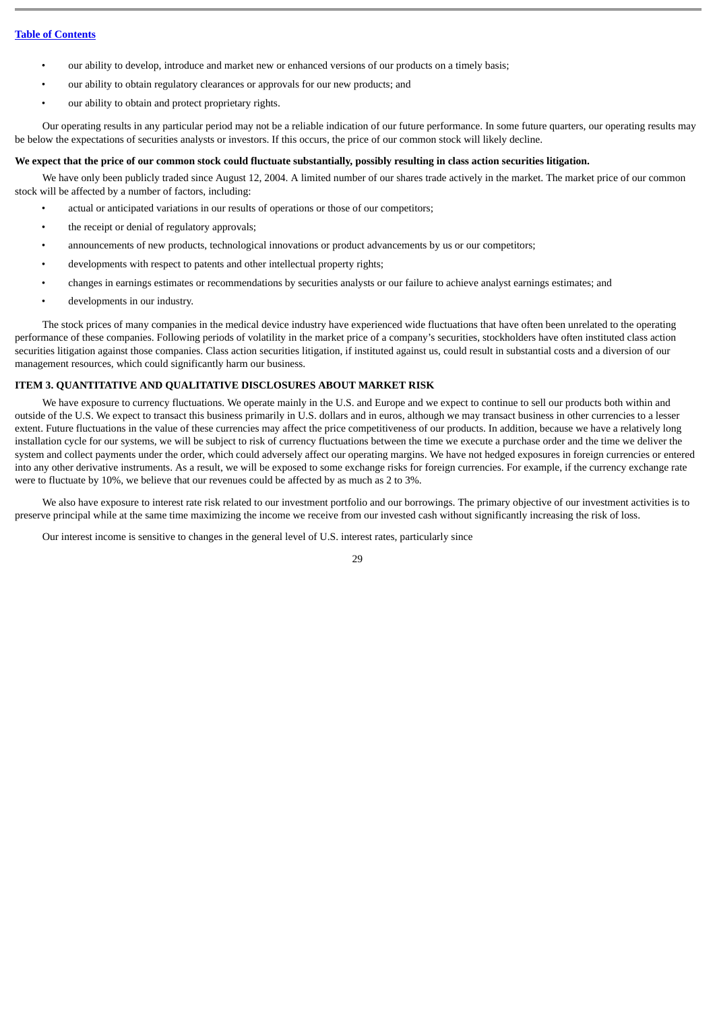- our ability to develop, introduce and market new or enhanced versions of our products on a timely basis;
- our ability to obtain regulatory clearances or approvals for our new products; and
- our ability to obtain and protect proprietary rights.

Our operating results in any particular period may not be a reliable indication of our future performance. In some future quarters, our operating results may be below the expectations of securities analysts or investors. If this occurs, the price of our common stock will likely decline.

#### **We expect that the price of our common stock could fluctuate substantially, possibly resulting in class action securities litigation.**

We have only been publicly traded since August 12, 2004. A limited number of our shares trade actively in the market. The market price of our common stock will be affected by a number of factors, including:

- actual or anticipated variations in our results of operations or those of our competitors;
- the receipt or denial of regulatory approvals;
- announcements of new products, technological innovations or product advancements by us or our competitors;
- developments with respect to patents and other intellectual property rights;
- changes in earnings estimates or recommendations by securities analysts or our failure to achieve analyst earnings estimates; and
- developments in our industry.

The stock prices of many companies in the medical device industry have experienced wide fluctuations that have often been unrelated to the operating performance of these companies. Following periods of volatility in the market price of a company's securities, stockholders have often instituted class action securities litigation against those companies. Class action securities litigation, if instituted against us, could result in substantial costs and a diversion of our management resources, which could significantly harm our business.

## <span id="page-28-0"></span>**ITEM 3. QUANTITATIVE AND QUALITATIVE DISCLOSURES ABOUT MARKET RISK**

We have exposure to currency fluctuations. We operate mainly in the U.S. and Europe and we expect to continue to sell our products both within and outside of the U.S. We expect to transact this business primarily in U.S. dollars and in euros, although we may transact business in other currencies to a lesser extent. Future fluctuations in the value of these currencies may affect the price competitiveness of our products. In addition, because we have a relatively long installation cycle for our systems, we will be subject to risk of currency fluctuations between the time we execute a purchase order and the time we deliver the system and collect payments under the order, which could adversely affect our operating margins. We have not hedged exposures in foreign currencies or entered into any other derivative instruments. As a result, we will be exposed to some exchange risks for foreign currencies. For example, if the currency exchange rate were to fluctuate by 10%, we believe that our revenues could be affected by as much as 2 to 3%.

We also have exposure to interest rate risk related to our investment portfolio and our borrowings. The primary objective of our investment activities is to preserve principal while at the same time maximizing the income we receive from our invested cash without significantly increasing the risk of loss.

Our interest income is sensitive to changes in the general level of U.S. interest rates, particularly since

 $\overline{2}9$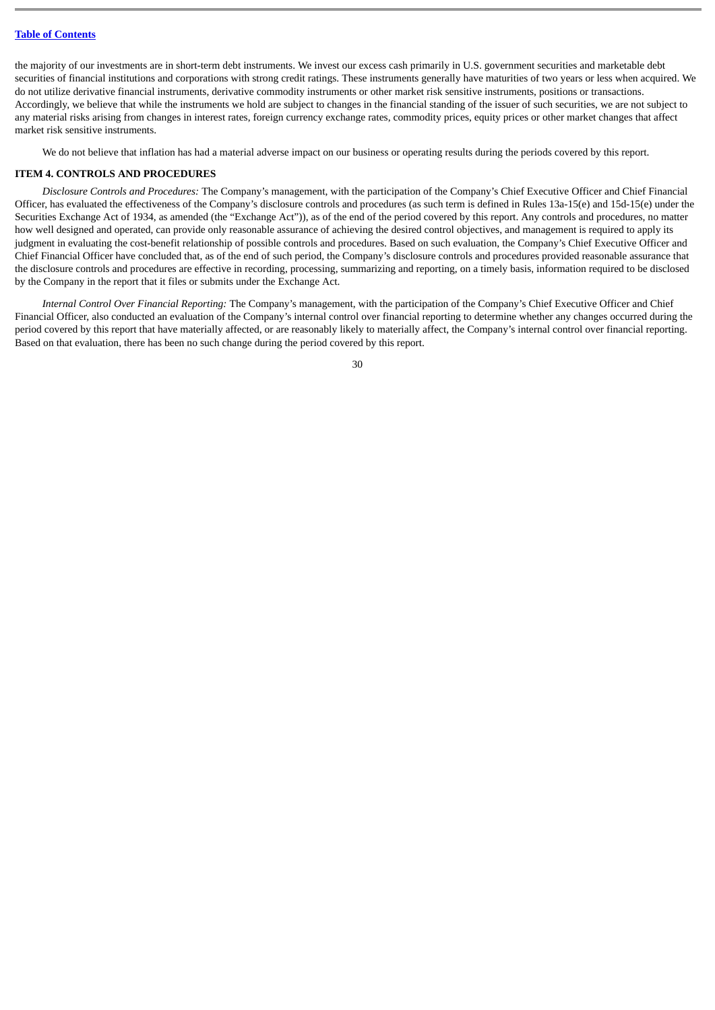the majority of our investments are in short-term debt instruments. We invest our excess cash primarily in U.S. government securities and marketable debt securities of financial institutions and corporations with strong credit ratings. These instruments generally have maturities of two years or less when acquired. We do not utilize derivative financial instruments, derivative commodity instruments or other market risk sensitive instruments, positions or transactions. Accordingly, we believe that while the instruments we hold are subject to changes in the financial standing of the issuer of such securities, we are not subject to any material risks arising from changes in interest rates, foreign currency exchange rates, commodity prices, equity prices or other market changes that affect market risk sensitive instruments.

We do not believe that inflation has had a material adverse impact on our business or operating results during the periods covered by this report.

#### <span id="page-29-0"></span>**ITEM 4. CONTROLS AND PROCEDURES**

*Disclosure Controls and Procedures:* The Company's management, with the participation of the Company's Chief Executive Officer and Chief Financial Officer, has evaluated the effectiveness of the Company's disclosure controls and procedures (as such term is defined in Rules 13a-15(e) and 15d-15(e) under the Securities Exchange Act of 1934, as amended (the "Exchange Act")), as of the end of the period covered by this report. Any controls and procedures, no matter how well designed and operated, can provide only reasonable assurance of achieving the desired control objectives, and management is required to apply its judgment in evaluating the cost-benefit relationship of possible controls and procedures. Based on such evaluation, the Company's Chief Executive Officer and Chief Financial Officer have concluded that, as of the end of such period, the Company's disclosure controls and procedures provided reasonable assurance that the disclosure controls and procedures are effective in recording, processing, summarizing and reporting, on a timely basis, information required to be disclosed by the Company in the report that it files or submits under the Exchange Act.

*Internal Control Over Financial Reporting:* The Company's management, with the participation of the Company's Chief Executive Officer and Chief Financial Officer, also conducted an evaluation of the Company's internal control over financial reporting to determine whether any changes occurred during the period covered by this report that have materially affected, or are reasonably likely to materially affect, the Company's internal control over financial reporting. Based on that evaluation, there has been no such change during the period covered by this report.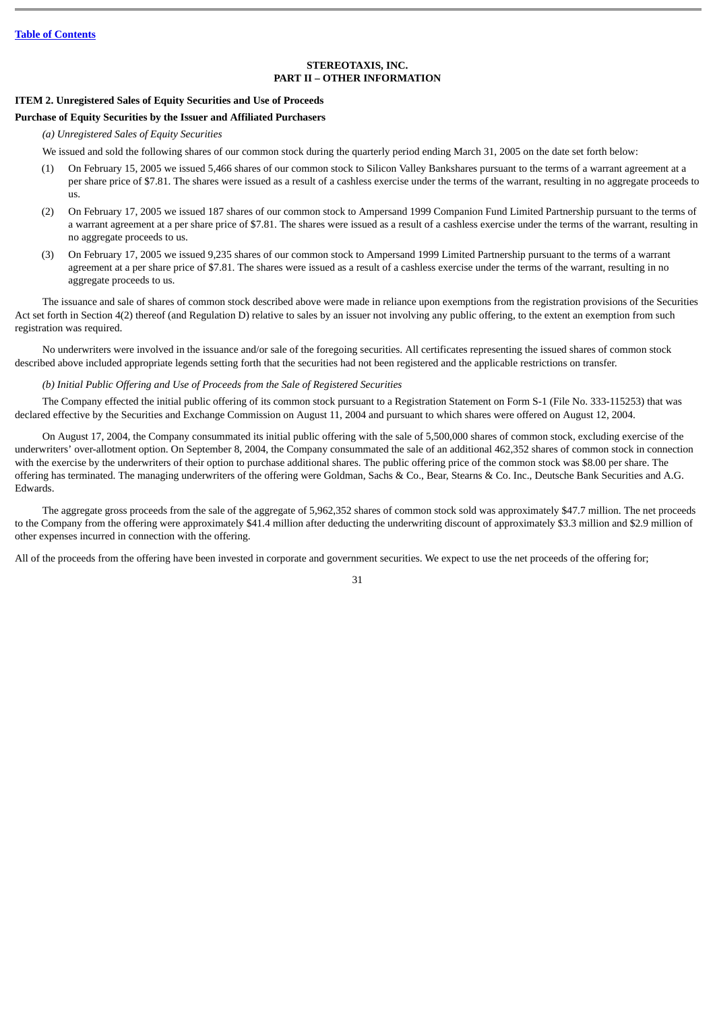## **STEREOTAXIS, INC. PART II – OTHER INFORMATION**

## <span id="page-30-1"></span><span id="page-30-0"></span>**ITEM 2. Unregistered Sales of Equity Securities and Use of Proceeds**

#### **Purchase of Equity Securities by the Issuer and Affiliated Purchasers**

#### *(a) Unregistered Sales of Equity Securities*

We issued and sold the following shares of our common stock during the quarterly period ending March 31, 2005 on the date set forth below:

- (1) On February 15, 2005 we issued 5,466 shares of our common stock to Silicon Valley Bankshares pursuant to the terms of a warrant agreement at a per share price of \$7.81. The shares were issued as a result of a cashless exercise under the terms of the warrant, resulting in no aggregate proceeds to us.
- (2) On February 17, 2005 we issued 187 shares of our common stock to Ampersand 1999 Companion Fund Limited Partnership pursuant to the terms of a warrant agreement at a per share price of \$7.81. The shares were issued as a result of a cashless exercise under the terms of the warrant, resulting in no aggregate proceeds to us.
- (3) On February 17, 2005 we issued 9,235 shares of our common stock to Ampersand 1999 Limited Partnership pursuant to the terms of a warrant agreement at a per share price of \$7.81. The shares were issued as a result of a cashless exercise under the terms of the warrant, resulting in no aggregate proceeds to us.

The issuance and sale of shares of common stock described above were made in reliance upon exemptions from the registration provisions of the Securities Act set forth in Section 4(2) thereof (and Regulation D) relative to sales by an issuer not involving any public offering, to the extent an exemption from such registration was required.

No underwriters were involved in the issuance and/or sale of the foregoing securities. All certificates representing the issued shares of common stock described above included appropriate legends setting forth that the securities had not been registered and the applicable restrictions on transfer.

## *(b) Initial Public Offering and Use of Proceeds from the Sale of Registered Securities*

The Company effected the initial public offering of its common stock pursuant to a Registration Statement on Form S-1 (File No. 333-115253) that was declared effective by the Securities and Exchange Commission on August 11, 2004 and pursuant to which shares were offered on August 12, 2004.

On August 17, 2004, the Company consummated its initial public offering with the sale of 5,500,000 shares of common stock, excluding exercise of the underwriters' over-allotment option. On September 8, 2004, the Company consummated the sale of an additional 462,352 shares of common stock in connection with the exercise by the underwriters of their option to purchase additional shares. The public offering price of the common stock was \$8.00 per share. The offering has terminated. The managing underwriters of the offering were Goldman, Sachs & Co., Bear, Stearns & Co. Inc., Deutsche Bank Securities and A.G. Edwards.

The aggregate gross proceeds from the sale of the aggregate of 5,962,352 shares of common stock sold was approximately \$47.7 million. The net proceeds to the Company from the offering were approximately \$41.4 million after deducting the underwriting discount of approximately \$3.3 million and \$2.9 million of other expenses incurred in connection with the offering.

All of the proceeds from the offering have been invested in corporate and government securities. We expect to use the net proceeds of the offering for;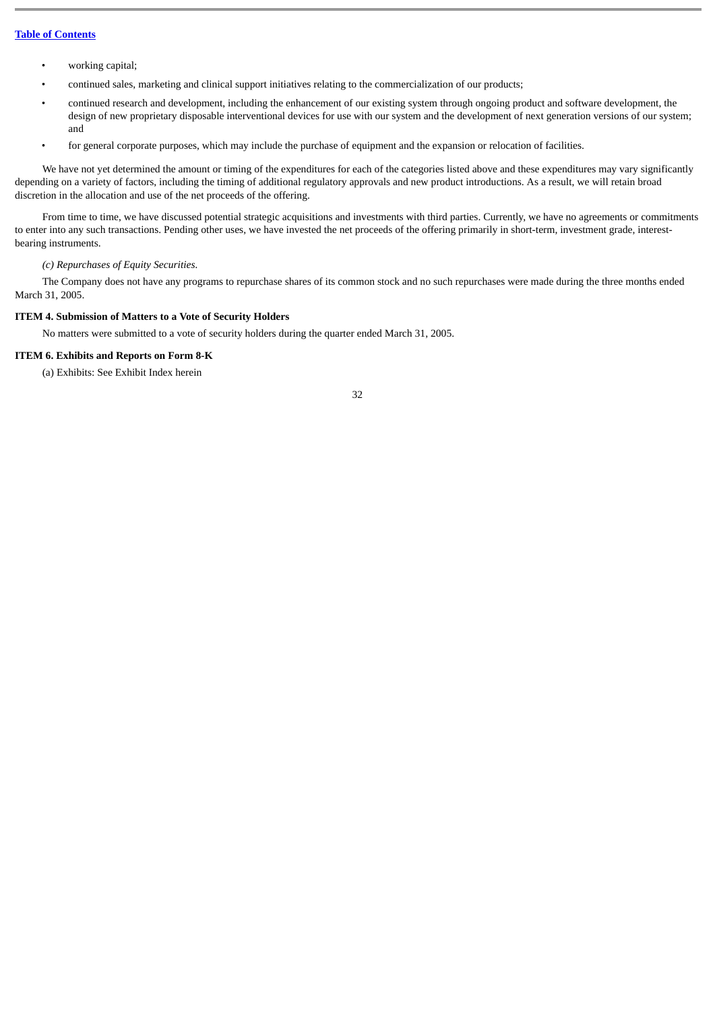- working capital;
- continued sales, marketing and clinical support initiatives relating to the commercialization of our products;
- continued research and development, including the enhancement of our existing system through ongoing product and software development, the design of new proprietary disposable interventional devices for use with our system and the development of next generation versions of our system; and
- for general corporate purposes, which may include the purchase of equipment and the expansion or relocation of facilities.

We have not yet determined the amount or timing of the expenditures for each of the categories listed above and these expenditures may vary significantly depending on a variety of factors, including the timing of additional regulatory approvals and new product introductions. As a result, we will retain broad discretion in the allocation and use of the net proceeds of the offering.

From time to time, we have discussed potential strategic acquisitions and investments with third parties. Currently, we have no agreements or commitments to enter into any such transactions. Pending other uses, we have invested the net proceeds of the offering primarily in short-term, investment grade, interestbearing instruments.

## *(c) Repurchases of Equity Securities.*

The Company does not have any programs to repurchase shares of its common stock and no such repurchases were made during the three months ended March 31, 2005.

## <span id="page-31-0"></span>**ITEM 4. Submission of Matters to a Vote of Security Holders**

No matters were submitted to a vote of security holders during the quarter ended March 31, 2005.

## <span id="page-31-1"></span>**ITEM 6. Exhibits and Reports on Form 8-K**

(a) Exhibits: See Exhibit Index herein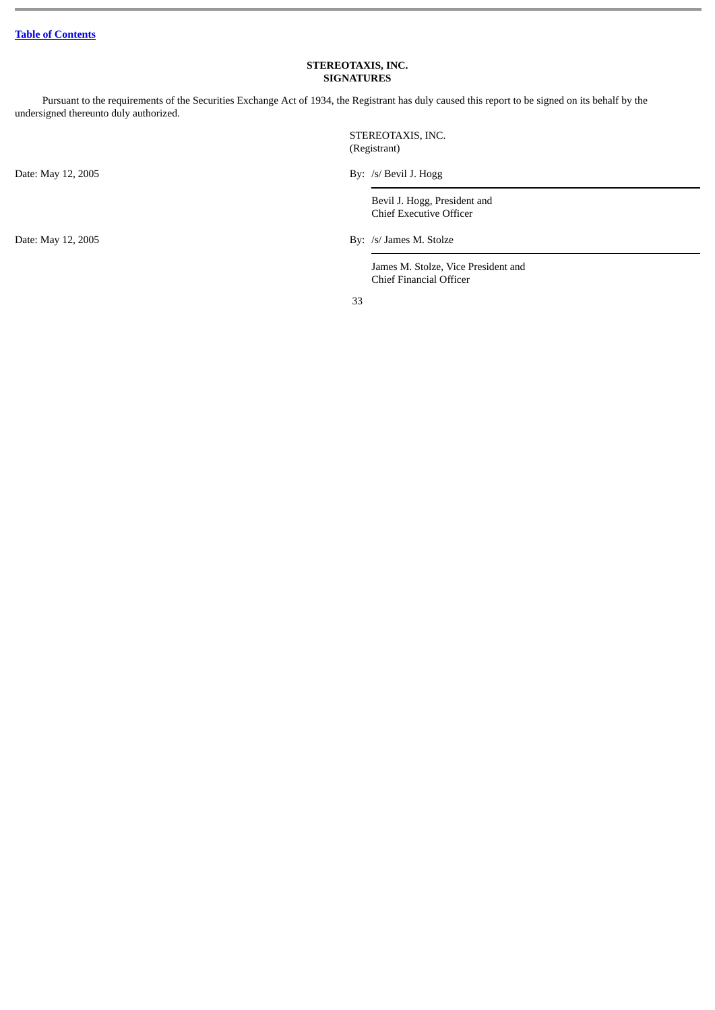## **STEREOTAXIS, INC. SIGNATURES**

<span id="page-32-0"></span>Pursuant to the requirements of the Securities Exchange Act of 1934, the Registrant has duly caused this report to be signed on its behalf by the undersigned thereunto duly authorized.

STEREOTAXIS, INC. (Registrant)

Date: May 12, 2005 By: /s/ Bevil J. Hogg

Bevil J. Hogg, President and Chief Executive Officer

Date: May 12, 2005 By: /s/ James M. Stolze

James M. Stolze, Vice President and Chief Financial Officer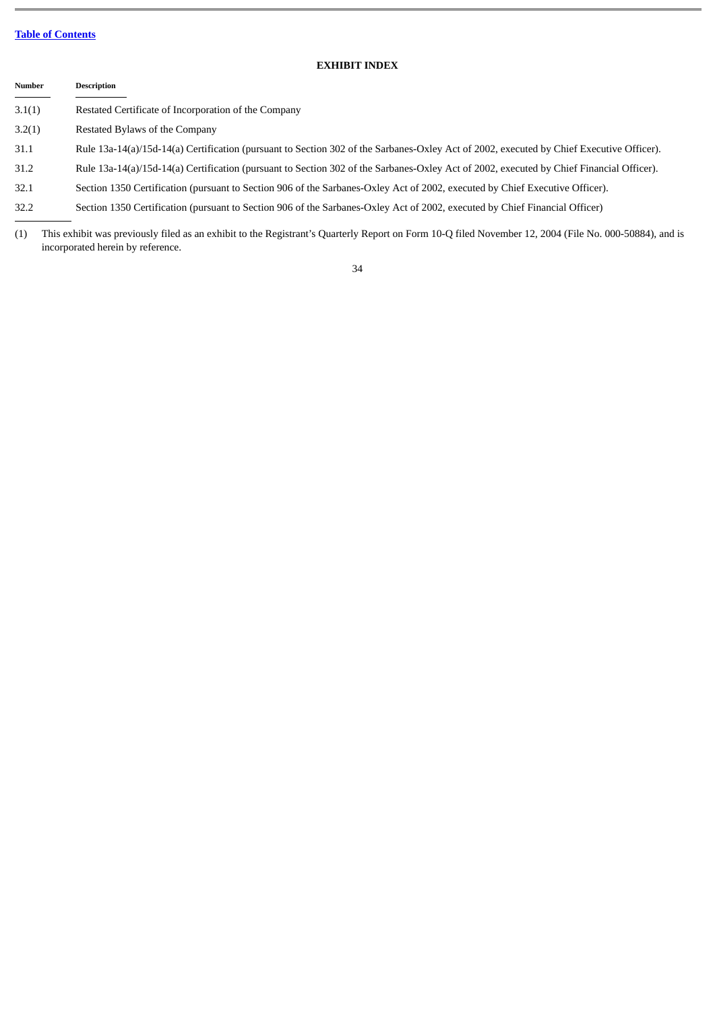## **EXHIBIT INDEX**

<span id="page-33-0"></span>

| <b>Number</b> | <b>Description</b>                                                                                                                       |
|---------------|------------------------------------------------------------------------------------------------------------------------------------------|
| 3.1(1)        | Restated Certificate of Incorporation of the Company                                                                                     |
| 3.2(1)        | Restated Bylaws of the Company                                                                                                           |
| 31.1          | Rule 13a-14(a)/15d-14(a) Certification (pursuant to Section 302 of the Sarbanes-Oxley Act of 2002, executed by Chief Executive Officer). |
| 31.2          | Rule 13a-14(a)/15d-14(a) Certification (pursuant to Section 302 of the Sarbanes-Oxley Act of 2002, executed by Chief Financial Officer). |
| 32.1          | Section 1350 Certification (pursuant to Section 906 of the Sarbanes-Oxley Act of 2002, executed by Chief Executive Officer).             |
| 32.2          | Section 1350 Certification (pursuant to Section 906 of the Sarbanes-Oxley Act of 2002, executed by Chief Financial Officer)              |
|               |                                                                                                                                          |

(1) This exhibit was previously filed as an exhibit to the Registrant's Quarterly Report on Form 10-Q filed November 12, 2004 (File No. 000-50884), and is incorporated herein by reference.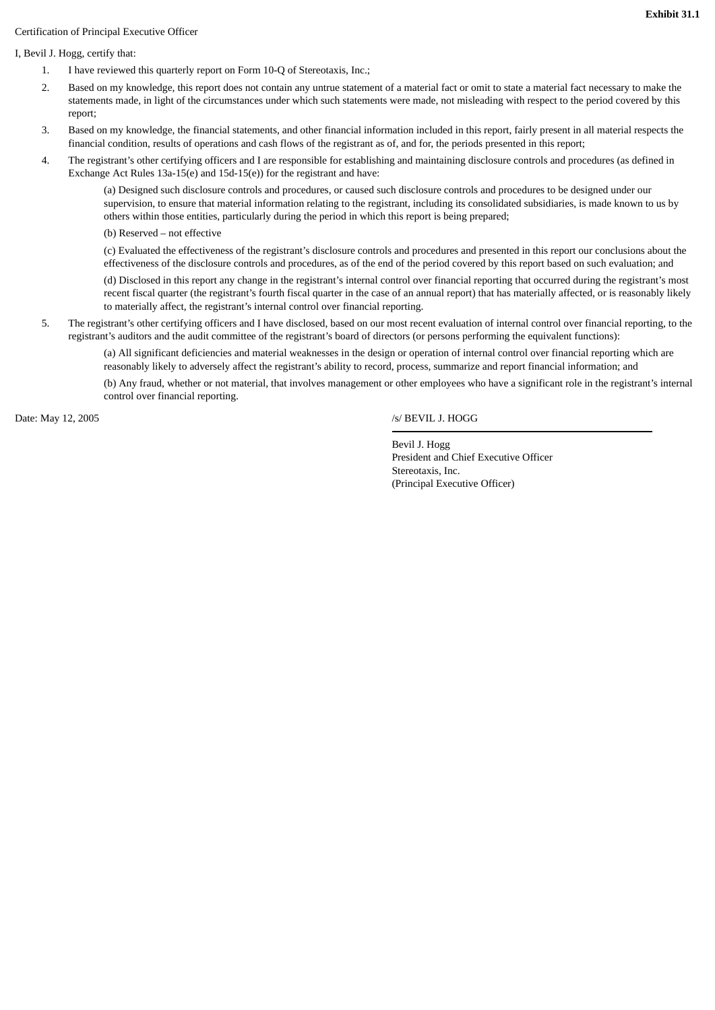## Certification of Principal Executive Officer

## I, Bevil J. Hogg, certify that:

- 1. I have reviewed this quarterly report on Form 10-Q of Stereotaxis, Inc.;
- 2. Based on my knowledge, this report does not contain any untrue statement of a material fact or omit to state a material fact necessary to make the statements made, in light of the circumstances under which such statements were made, not misleading with respect to the period covered by this report;
- 3. Based on my knowledge, the financial statements, and other financial information included in this report, fairly present in all material respects the financial condition, results of operations and cash flows of the registrant as of, and for, the periods presented in this report;
- 4. The registrant's other certifying officers and I are responsible for establishing and maintaining disclosure controls and procedures (as defined in Exchange Act Rules 13a-15(e) and 15d-15(e)) for the registrant and have:

(a) Designed such disclosure controls and procedures, or caused such disclosure controls and procedures to be designed under our supervision, to ensure that material information relating to the registrant, including its consolidated subsidiaries, is made known to us by others within those entities, particularly during the period in which this report is being prepared;

(b) Reserved – not effective

(c) Evaluated the effectiveness of the registrant's disclosure controls and procedures and presented in this report our conclusions about the effectiveness of the disclosure controls and procedures, as of the end of the period covered by this report based on such evaluation; and

(d) Disclosed in this report any change in the registrant's internal control over financial reporting that occurred during the registrant's most recent fiscal quarter (the registrant's fourth fiscal quarter in the case of an annual report) that has materially affected, or is reasonably likely to materially affect, the registrant's internal control over financial reporting.

5. The registrant's other certifying officers and I have disclosed, based on our most recent evaluation of internal control over financial reporting, to the registrant's auditors and the audit committee of the registrant's board of directors (or persons performing the equivalent functions):

(a) All significant deficiencies and material weaknesses in the design or operation of internal control over financial reporting which are reasonably likely to adversely affect the registrant's ability to record, process, summarize and report financial information; and

(b) Any fraud, whether or not material, that involves management or other employees who have a significant role in the registrant's internal control over financial reporting.

Date: May 12, 2005

## /s/ BEVIL J. HOGG

 Bevil J. Hogg President and Chief Executive Officer Stereotaxis, Inc. (Principal Executive Officer)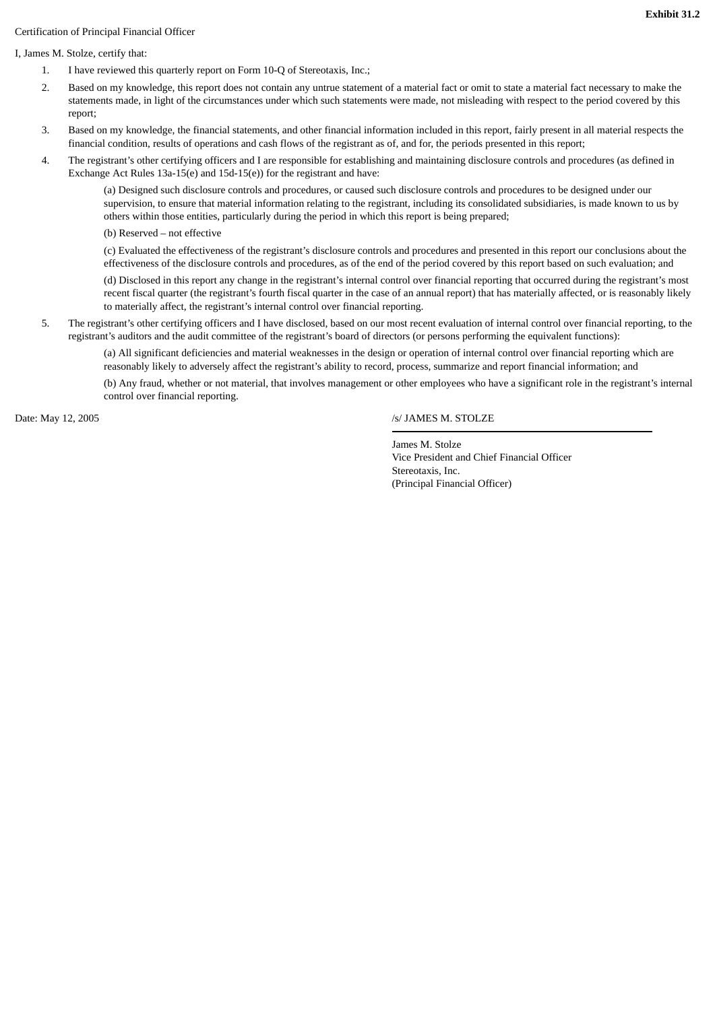## **Exhibit 31.2**

## Certification of Principal Financial Officer

## I, James M. Stolze, certify that:

- 1. I have reviewed this quarterly report on Form 10-Q of Stereotaxis, Inc.;
- 2. Based on my knowledge, this report does not contain any untrue statement of a material fact or omit to state a material fact necessary to make the statements made, in light of the circumstances under which such statements were made, not misleading with respect to the period covered by this report;
- 3. Based on my knowledge, the financial statements, and other financial information included in this report, fairly present in all material respects the financial condition, results of operations and cash flows of the registrant as of, and for, the periods presented in this report;
- 4. The registrant's other certifying officers and I are responsible for establishing and maintaining disclosure controls and procedures (as defined in Exchange Act Rules 13a-15(e) and 15d-15(e)) for the registrant and have:

(a) Designed such disclosure controls and procedures, or caused such disclosure controls and procedures to be designed under our supervision, to ensure that material information relating to the registrant, including its consolidated subsidiaries, is made known to us by others within those entities, particularly during the period in which this report is being prepared;

(b) Reserved – not effective

(c) Evaluated the effectiveness of the registrant's disclosure controls and procedures and presented in this report our conclusions about the effectiveness of the disclosure controls and procedures, as of the end of the period covered by this report based on such evaluation; and

(d) Disclosed in this report any change in the registrant's internal control over financial reporting that occurred during the registrant's most recent fiscal quarter (the registrant's fourth fiscal quarter in the case of an annual report) that has materially affected, or is reasonably likely to materially affect, the registrant's internal control over financial reporting.

5. The registrant's other certifying officers and I have disclosed, based on our most recent evaluation of internal control over financial reporting, to the registrant's auditors and the audit committee of the registrant's board of directors (or persons performing the equivalent functions):

(a) All significant deficiencies and material weaknesses in the design or operation of internal control over financial reporting which are reasonably likely to adversely affect the registrant's ability to record, process, summarize and report financial information; and

(b) Any fraud, whether or not material, that involves management or other employees who have a significant role in the registrant's internal control over financial reporting.

Date: May 12, 2005

## /s/ JAMES M. STOLZE

 James M. Stolze Vice President and Chief Financial Officer Stereotaxis, Inc. (Principal Financial Officer)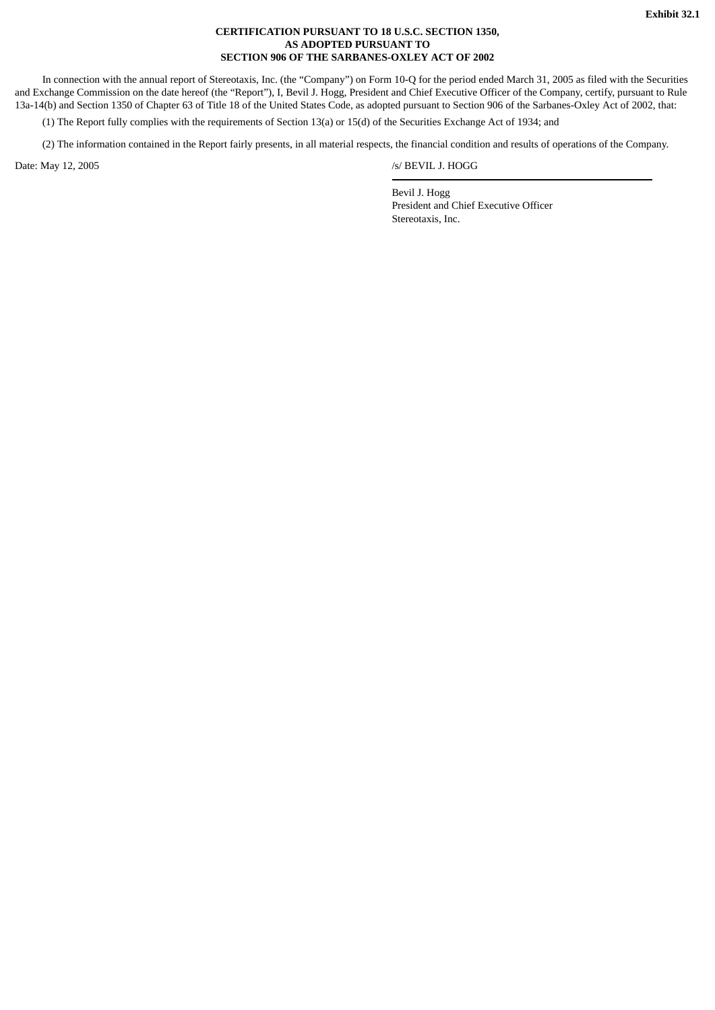## **CERTIFICATION PURSUANT TO 18 U.S.C. SECTION 1350, AS ADOPTED PURSUANT TO SECTION 906 OF THE SARBANES-OXLEY ACT OF 2002**

In connection with the annual report of Stereotaxis, Inc. (the "Company") on Form 10-Q for the period ended March 31, 2005 as filed with the Securities and Exchange Commission on the date hereof (the "Report"), I, Bevil J. Hogg, President and Chief Executive Officer of the Company, certify, pursuant to Rule 13a-14(b) and Section 1350 of Chapter 63 of Title 18 of the United States Code, as adopted pursuant to Section 906 of the Sarbanes-Oxley Act of 2002, that:

(1) The Report fully complies with the requirements of Section 13(a) or 15(d) of the Securities Exchange Act of 1934; and

(2) The information contained in the Report fairly presents, in all material respects, the financial condition and results of operations of the Company.

Date: May 12, 2005

/s/ BEVIL J. HOGG

 Bevil J. Hogg President and Chief Executive Officer Stereotaxis, Inc.